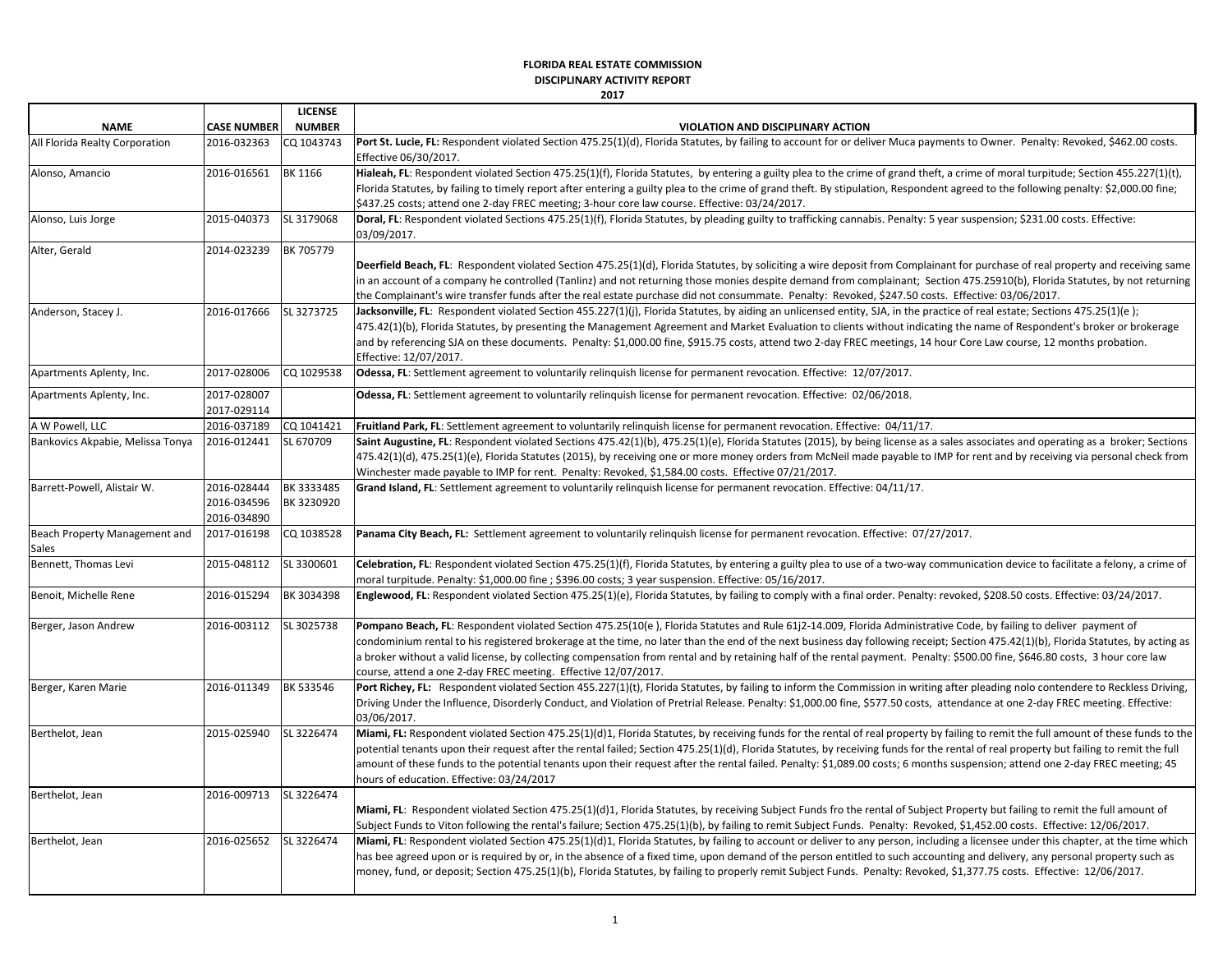## **FLORIDA REAL ESTATE COMMISSION**

**DISCIPLINARY ACTIVITY REPORT**

**2017**

|                                        |                                           | <b>LICENSE</b>           |                                                                                                                                                                                                                                                                                                                                                                                                                                                                                                                                                                                                             |
|----------------------------------------|-------------------------------------------|--------------------------|-------------------------------------------------------------------------------------------------------------------------------------------------------------------------------------------------------------------------------------------------------------------------------------------------------------------------------------------------------------------------------------------------------------------------------------------------------------------------------------------------------------------------------------------------------------------------------------------------------------|
| <b>NAME</b>                            | <b>CASE NUMBER</b>                        | <b>NUMBER</b>            | <b>VIOLATION AND DISCIPLINARY ACTION</b>                                                                                                                                                                                                                                                                                                                                                                                                                                                                                                                                                                    |
| All Florida Realty Corporation         | 2016-032363                               | CQ 1043743               | Port St. Lucie, FL: Respondent violated Section 475.25(1)(d), Florida Statutes, by failing to account for or deliver Muca payments to Owner. Penalty: Revoked, \$462.00 costs.<br>Effective 06/30/2017.                                                                                                                                                                                                                                                                                                                                                                                                     |
| Alonso, Amancio                        | 2016-016561                               | BK 1166                  | Hialeah, FL: Respondent violated Section 475.25(1)(f), Florida Statutes, by entering a guilty plea to the crime of grand theft, a crime of moral turpitude; Section 455.227(1)(t),<br>[Florida Statutes, by failing to timely report after entering a guilty plea to the crime of grand theft. By stipulation, Respondent agreed to the following penalty: \$2,000.00 fine;<br>\$437.25 costs; attend one 2-day FREC meeting; 3-hour core law course. Effective: 03/24/2017.                                                                                                                                |
| Alonso, Luis Jorge                     | 2015-040373                               | SL 3179068               | Doral, FL: Respondent violated Sections 475.25(1)(f), Florida Statutes, by pleading guilty to trafficking cannabis. Penalty: 5 year suspension; \$231.00 costs. Effective:<br>03/09/2017.                                                                                                                                                                                                                                                                                                                                                                                                                   |
| Alter, Gerald                          | 2014-023239                               | BK 705779                | Deerfield Beach, FL: Respondent violated Section 475.25(1)(d), Florida Statutes, by soliciting a wire deposit from Complainant for purchase of real property and receiving same<br>in an account of a company he controlled (Tanlinz) and not returning those monies despite demand from complainant; Section 475.25910(b), Florida Statutes, by not returning<br>the Complainant's wire transfer funds after the real estate purchase did not consummate. Penalty: Revoked, \$247.50 costs. Effective: 03/06/2017.                                                                                         |
| Anderson, Stacey J.                    | 2016-017666                               | SL 3273725               | Jacksonville, FL: Respondent violated Section 455.227(1)(i), Florida Statutes, by aiding an unlicensed entity, SJA, in the practice of real estate; Sections 475.25(1)(e);<br>475.42(1)(b), Florida Statutes, by presenting the Management Agreement and Market Evaluation to clients without indicating the name of Respondent's broker or brokerage<br>and by referencing SJA on these documents. Penalty: \$1,000.00 fine, \$915.75 costs, attend two 2-day FREC meetings, 14 hour Core Law course, 12 months probation.<br>Effective: 12/07/2017.                                                       |
| Apartments Aplenty, Inc.               | 2017-028006                               | CQ 1029538               | Odessa, FL: Settlement agreement to voluntarily relinguish license for permanent revocation. Effective: 12/07/2017.                                                                                                                                                                                                                                                                                                                                                                                                                                                                                         |
| Apartments Aplenty, Inc.               | 2017-028007<br>2017-029114                |                          | Odessa, FL: Settlement agreement to voluntarily relinguish license for permanent revocation. Effective: 02/06/2018.                                                                                                                                                                                                                                                                                                                                                                                                                                                                                         |
| A W Powell, LLC                        | 2016-037189                               | CQ 1041421               | Fruitland Park, FL: Settlement agreement to voluntarily relinguish license for permanent revocation. Effective: 04/11/17.                                                                                                                                                                                                                                                                                                                                                                                                                                                                                   |
| Bankovics Akpabie, Melissa Tonya       | 2016-012441                               | SL 670709                | Saint Augustine, FL: Respondent violated Sections 475.42(1)(b), 475.25(1)(e), Florida Statutes (2015), by being license as a sales associates and operating as a broker; Sections<br>475.42(1)(d), 475.25(1)(e), Florida Statutes (2015), by receiving one or more money orders from McNeil made payable to IMP for rent and by receiving via personal check from<br>Winchester made payable to IMP for rent. Penalty: Revoked, \$1,584.00 costs. Effective 07/21/2017.                                                                                                                                     |
| Barrett-Powell, Alistair W.            | 2016-028444<br>2016-034596<br>2016-034890 | BK 3333485<br>BK 3230920 | Grand Island, FL: Settlement agreement to voluntarily relinguish license for permanent revocation. Effective: 04/11/17.                                                                                                                                                                                                                                                                                                                                                                                                                                                                                     |
| Beach Property Management and<br>Sales | 2017-016198                               | CQ 1038528               | Panama City Beach, FL: Settlement agreement to voluntarily relinguish license for permanent revocation. Effective: 07/27/2017.                                                                                                                                                                                                                                                                                                                                                                                                                                                                              |
| Bennett, Thomas Levi                   | 2015-048112                               | SL 3300601               | Celebration, FL: Respondent violated Section 475.25(1)(f), Florida Statutes, by entering a guilty plea to use of a two-way communication device to facilitate a felony, a crime of<br>moral turpitude. Penalty: \$1,000.00 fine ; \$396.00 costs; 3 year suspension. Effective: 05/16/2017.                                                                                                                                                                                                                                                                                                                 |
| Benoit, Michelle Rene                  | 2016-015294                               | BK 3034398               | Englewood, FL: Respondent violated Section 475.25(1)(e), Florida Statutes, by failing to comply with a final order. Penalty: revoked, \$208.50 costs. Effective: 03/24/2017.                                                                                                                                                                                                                                                                                                                                                                                                                                |
| Berger, Jason Andrew                   | 2016-003112                               | SL 3025738               | Pompano Beach, FL: Respondent violated Section 475.25(10(e), Florida Statutes and Rule 61 2-14.009, Florida Administrative Code, by failing to deliver payment of<br>condominium rental to his registered brokerage at the time, no later than the end of the next business day following receipt; Section 475.42(1)(b), Florida Statutes, by acting as<br>a broker without a valid license, by collecting compensation from rental and by retaining half of the rental payment. Penalty: \$500.00 fine, \$646.80 costs, 3 hour core law<br>course, attend a one 2-day FREC meeting. Effective 12/07/2017.  |
| Berger, Karen Marie                    | 2016-011349                               | BK 533546                | Port Richey, FL: Respondent violated Section 455.227(1)(t), Florida Statutes, by failing to inform the Commission in writing after pleading nolo contendere to Reckless Driving,<br>Driving Under the Influence, Disorderly Conduct, and Violation of Pretrial Release. Penalty: \$1,000.00 fine, \$577.50 costs, attendance at one 2-day FREC meeting. Effective:<br>03/06/2017.                                                                                                                                                                                                                           |
| Berthelot, Jean                        | 2015-025940                               | SL 3226474               | Miami, FL: Respondent violated Section 475.25(1)(d)1, Florida Statutes, by receiving funds for the rental of real property by failing to remit the full amount of these funds to the<br>potential tenants upon their request after the rental failed; Section 475.25(1)(d), Florida Statutes, by receiving funds for the rental of real property but failing to remit the full<br>amount of these funds to the potential tenants upon their request after the rental failed. Penalty: \$1,089.00 costs; 6 months suspension; attend one 2-day FREC meeting; 45<br>hours of education. Effective: 03/24/2017 |
| Berthelot, Jean                        | 2016-009713                               | SL 3226474               | Miami, FL: Respondent violated Section 475.25(1)(d)1, Florida Statutes, by receiving Subject Funds fro the rental of Subject Property but failing to remit the full amount of<br>Subject Funds to Viton following the rental's failure; Section 475.25(1)(b), by failing to remit Subject Funds. Penalty: Revoked, \$1,452.00 costs. Effective: 12/06/2017.                                                                                                                                                                                                                                                 |
| Berthelot, Jean                        | 2016-025652                               | SL 3226474               | Miami, FL: Respondent violated Section 475.25(1)(d)1, Florida Statutes, by failing to account or deliver to any person, including a licensee under this chapter, at the time which<br>has bee agreed upon or is required by or, in the absence of a fixed time, upon demand of the person entitled to such accounting and delivery, any personal property such as<br>money, fund, or deposit; Section 475.25(1)(b), Florida Statutes, by failing to properly remit Subject Funds. Penalty: Revoked, \$1,377.75 costs. Effective: 12/06/2017.                                                                |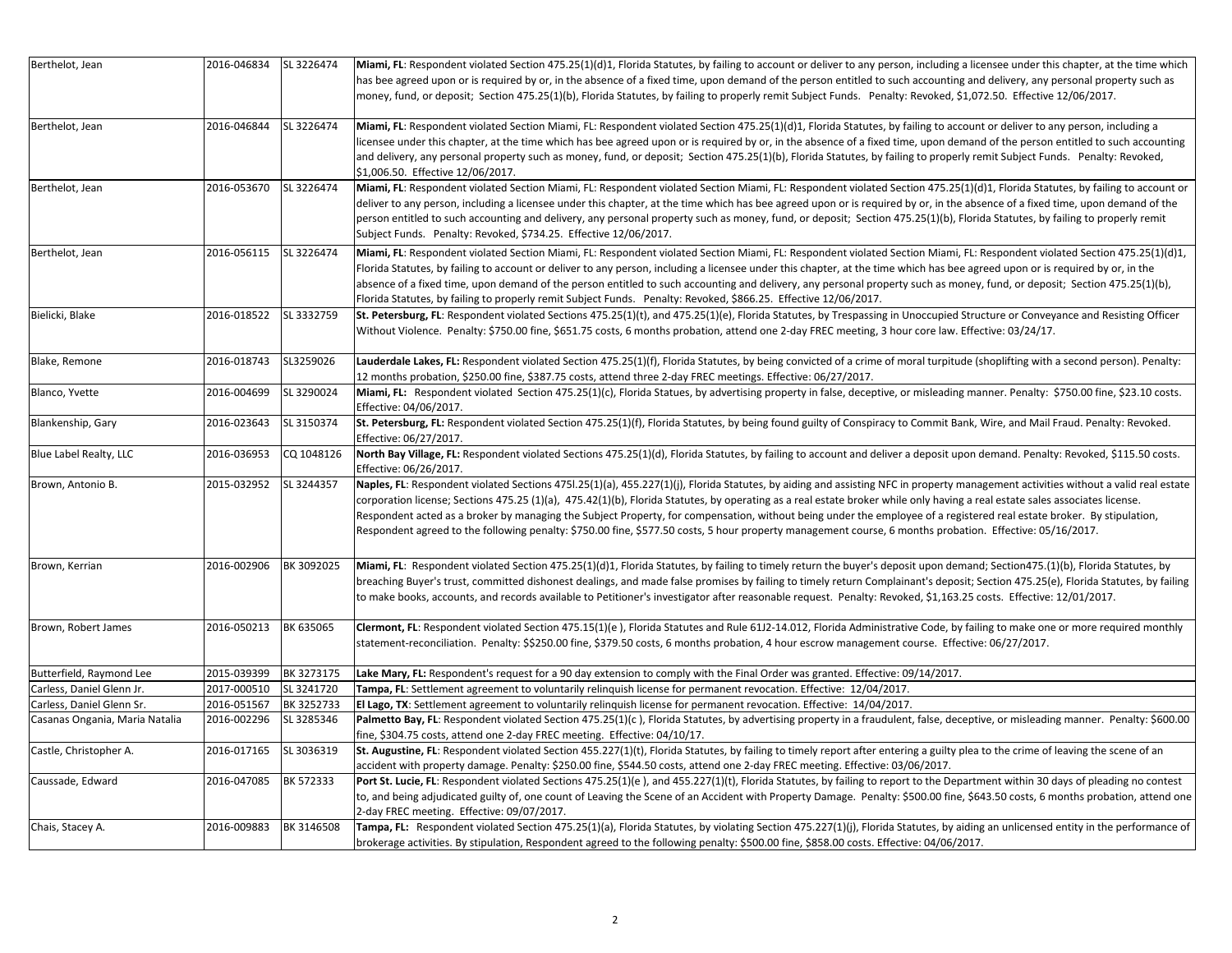| Berthelot, Jean                | 2016-046834 | SL 3226474 | Miami, FL: Respondent violated Section 475.25(1)(d)1, Florida Statutes, by failing to account or deliver to any person, including a licensee under this chapter, at the time which |
|--------------------------------|-------------|------------|------------------------------------------------------------------------------------------------------------------------------------------------------------------------------------|
|                                |             |            | has bee agreed upon or is required by or, in the absence of a fixed time, upon demand of the person entitled to such accounting and delivery, any personal property such as        |
|                                |             |            | money, fund, or deposit; Section 475.25(1)(b), Florida Statutes, by failing to properly remit Subject Funds. Penalty: Revoked, \$1,072.50. Effective 12/06/2017.                   |
|                                |             |            |                                                                                                                                                                                    |
| Berthelot, Jean                | 2016-046844 | SL 3226474 | Miami, FL: Respondent violated Section Miami, FL: Respondent violated Section 475.25(1)(d)1, Florida Statutes, by failing to account or deliver to any person, including a         |
|                                |             |            | licensee under this chapter, at the time which has bee agreed upon or is required by or, in the absence of a fixed time, upon demand of the person entitled to such accounting     |
|                                |             |            | and delivery, any personal property such as money, fund, or deposit; Section 475.25(1)(b), Florida Statutes, by failing to properly remit Subject Funds. Penalty: Revoked,         |
|                                |             |            | \$1,006.50. Effective 12/06/2017.                                                                                                                                                  |
| Berthelot, Jean                | 2016-053670 | SL 3226474 | Miami, FL: Respondent violated Section Miami, FL: Respondent violated Section Miami, FL: Respondent violated Section 475.25(1)(d)1, Florida Statutes, by failing to account or     |
|                                |             |            | deliver to any person, including a licensee under this chapter, at the time which has bee agreed upon or is required by or, in the absence of a fixed time, upon demand of the     |
|                                |             |            | person entitled to such accounting and delivery, any personal property such as money, fund, or deposit; Section 475.25(1)(b), Florida Statutes, by failing to properly remit       |
|                                |             |            | Subject Funds. Penalty: Revoked, \$734.25. Effective 12/06/2017.                                                                                                                   |
| Berthelot, Jean                | 2016-056115 | SL 3226474 | Miami, FL: Respondent violated Section Miami, FL: Respondent violated Section Miami, FL: Respondent violated Section Miami, FL: Respondent violated Section 475.25(1)(d)1,         |
|                                |             |            | Florida Statutes, by failing to account or deliver to any person, including a licensee under this chapter, at the time which has bee agreed upon or is required by or, in the      |
|                                |             |            | absence of a fixed time, upon demand of the person entitled to such accounting and delivery, any personal property such as money, fund, or deposit; Section 475.25(1)(b),          |
|                                |             |            | Florida Statutes, by failing to properly remit Subject Funds. Penalty: Revoked, \$866.25. Effective 12/06/2017.                                                                    |
| Bielicki, Blake                | 2016-018522 | SL 3332759 | St. Petersburg, FL: Respondent violated Sections 475.25(1)(t), and 475.25(1)(e), Florida Statutes, by Trespassing in Unoccupied Structure or Conveyance and Resisting Officer      |
|                                |             |            | Without Violence. Penalty: \$750.00 fine, \$651.75 costs, 6 months probation, attend one 2-day FREC meeting, 3 hour core law. Effective: 03/24/17.                                 |
| Blake, Remone                  | 2016-018743 | SL3259026  | Lauderdale Lakes, FL: Respondent violated Section 475.25(1)(f), Florida Statutes, by being convicted of a crime of moral turpitude (shoplifting with a second person). Penalty:    |
|                                |             |            | 12 months probation, \$250.00 fine, \$387.75 costs, attend three 2-day FREC meetings. Effective: 06/27/2017.                                                                       |
| Blanco, Yvette                 | 2016-004699 | SL 3290024 | Miami, FL: Respondent violated Section 475.25(1)(c), Florida Statues, by advertising property in false, deceptive, or misleading manner. Penalty: \$750.00 fine, \$23.10 costs.    |
|                                |             |            | Effective: 04/06/2017.                                                                                                                                                             |
| Blankenship, Gary              | 2016-023643 | SL 3150374 | St. Petersburg, FL: Respondent violated Section 475.25(1)(f), Florida Statutes, by being found guilty of Conspiracy to Commit Bank, Wire, and Mail Fraud. Penalty: Revoked.        |
|                                |             |            | Effective: 06/27/2017.                                                                                                                                                             |
| Blue Label Realty, LLC         | 2016-036953 | CQ 1048126 | North Bay Village, FL: Respondent violated Sections 475.25(1)(d), Florida Statutes, by failing to account and deliver a deposit upon demand. Penalty: Revoked, \$115.50 costs.     |
|                                |             |            | Effective: 06/26/2017.                                                                                                                                                             |
| Brown, Antonio B.              | 2015-032952 | SL 3244357 | Naples, FL: Respondent violated Sections 4751.25(1)(a), 455.227(1)(j), Florida Statutes, by aiding and assisting NFC in property management activities without a valid real estate |
|                                |             |            | corporation license; Sections 475.25 (1)(a), 475.42(1)(b), Florida Statutes, by operating as a real estate broker while only having a real estate sales associates license.        |
|                                |             |            | Respondent acted as a broker by managing the Subject Property, for compensation, without being under the employee of a registered real estate broker. By stipulation,              |
|                                |             |            | Respondent agreed to the following penalty: \$750.00 fine, \$577.50 costs, 5 hour property management course, 6 months probation. Effective: 05/16/2017.                           |
|                                |             |            |                                                                                                                                                                                    |
| Brown, Kerrian                 | 2016-002906 | BK 3092025 | Miami, FL: Respondent violated Section 475.25(1)(d)1, Florida Statutes, by failing to timely return the buyer's deposit upon demand; Section475.(1)(b), Florida Statutes, by       |
|                                |             |            | breaching Buyer's trust, committed dishonest dealings, and made false promises by failing to timely return Complainant's deposit; Section 475.25(e), Florida Statutes, by failing  |
|                                |             |            | to make books, accounts, and records available to Petitioner's investigator after reasonable request. Penalty: Revoked, \$1,163.25 costs. Effective: 12/01/2017.                   |
| Brown, Robert James            | 2016-050213 | BK 635065  | Clermont, FL: Respondent violated Section 475.15(1)(e), Florida Statutes and Rule 61J2-14.012, Florida Administrative Code, by failing to make one or more required monthly        |
|                                |             |            | statement-reconciliation. Penalty: \$\$250.00 fine, \$379.50 costs, 6 months probation, 4 hour escrow management course. Effective: 06/27/2017.                                    |
|                                |             |            |                                                                                                                                                                                    |
| Butterfield, Raymond Lee       | 2015-039399 | BK 3273175 | Lake Mary, FL: Respondent's request for a 90 day extension to comply with the Final Order was granted. Effective: 09/14/2017.                                                      |
| Carless, Daniel Glenn Jr.      | 2017-000510 | SL 3241720 | Tampa, FL: Settlement agreement to voluntarily relinguish license for permanent revocation. Effective: 12/04/2017.                                                                 |
| Carless, Daniel Glenn Sr.      | 2016-051567 | BK 3252733 | El Lago, TX: Settlement agreement to voluntarily relinquish license for permanent revocation. Effective: 14/04/2017.                                                               |
| Casanas Ongania, Maria Natalia | 2016-002296 | SL 3285346 | Palmetto Bay, FL: Respondent violated Section 475.25(1)(c), Florida Statutes, by advertising property in a fraudulent, false, deceptive, or misleading manner. Penalty: \$600.00   |
|                                |             |            | fine, \$304.75 costs, attend one 2-day FREC meeting. Effective: 04/10/17.                                                                                                          |
| Castle, Christopher A.         | 2016-017165 | SL 3036319 | St. Augustine, FL: Respondent violated Section 455.227(1)(t), Florida Statutes, by failing to timely report after entering a guilty plea to the crime of leaving the scene of an   |
|                                |             |            | accident with property damage. Penalty: \$250.00 fine, \$544.50 costs, attend one 2-day FREC meeting. Effective: 03/06/2017.                                                       |
| Caussade, Edward               | 2016-047085 | BK 572333  | Port St. Lucie, FL: Respondent violated Sections 475.25(1)(e), and 455.227(1)(t), Florida Statutes, by failing to report to the Department within 30 days of pleading no contest   |
|                                |             |            | to, and being adjudicated guilty of, one count of Leaving the Scene of an Accident with Property Damage. Penalty: \$500.00 fine, \$643.50 costs, 6 months probation, attend one    |
|                                |             |            | 2-day FREC meeting. Effective: 09/07/2017.                                                                                                                                         |
| Chais, Stacey A.               | 2016-009883 | BK 3146508 | Tampa, FL: Respondent violated Section 475.25(1)(a), Florida Statutes, by violating Section 475.227(1)(j), Florida Statutes, by aiding an unlicensed entity in the performance of  |
|                                |             |            | brokerage activities. By stipulation, Respondent agreed to the following penalty: \$500.00 fine, \$858.00 costs. Effective: 04/06/2017.                                            |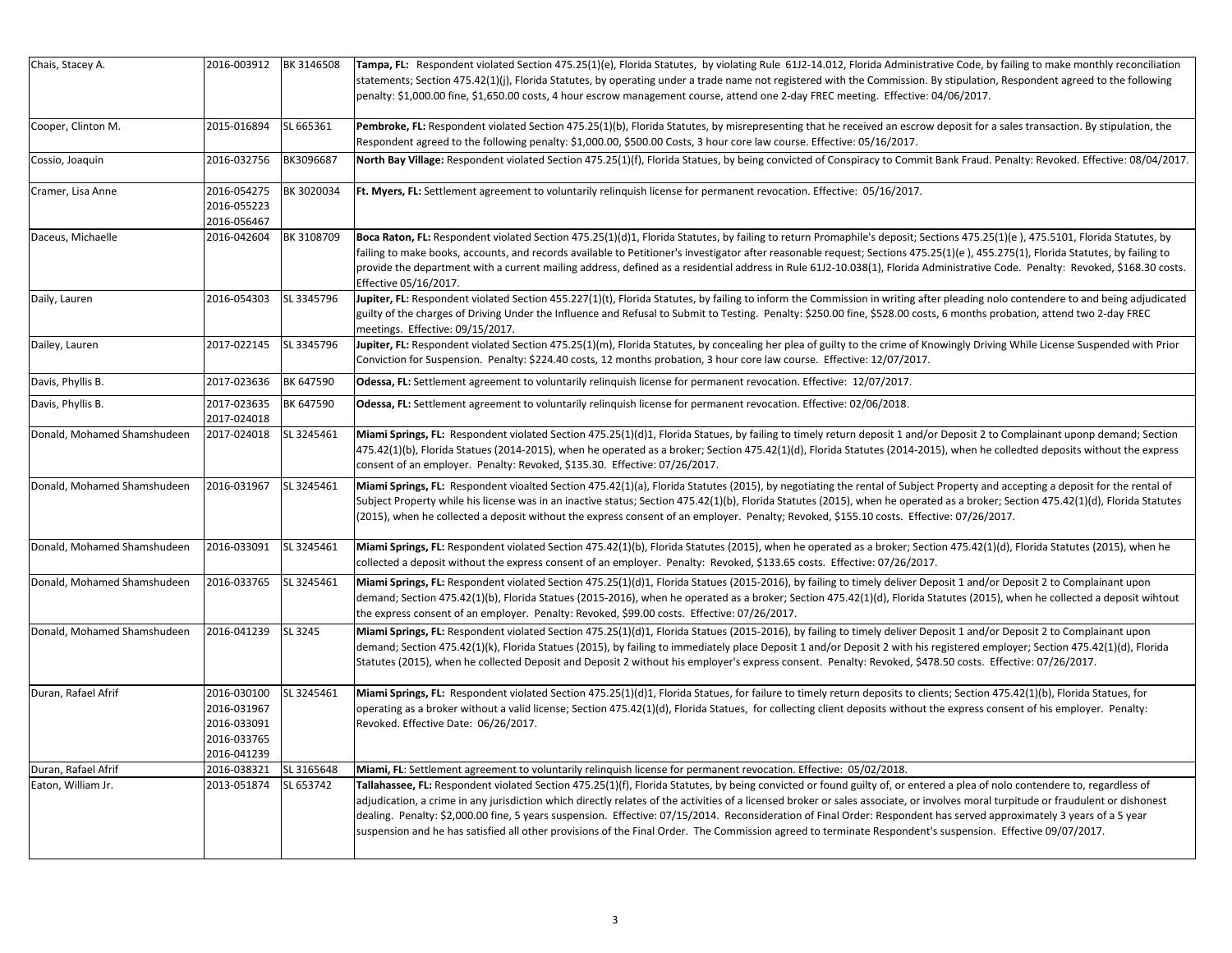| Chais, Stacey A.            | 2016-003912 | BK 3146508 | Tampa, FL: Respondent violated Section 475.25(1)(e), Florida Statutes, by violating Rule 61J2-14.012, Florida Administrative Code, by failing to make monthly reconciliation       |
|-----------------------------|-------------|------------|------------------------------------------------------------------------------------------------------------------------------------------------------------------------------------|
|                             |             |            | statements; Section 475.42(1)(j), Florida Statutes, by operating under a trade name not registered with the Commission. By stipulation, Respondent agreed to the following         |
|                             |             |            | penalty: \$1,000.00 fine, \$1,650.00 costs, 4 hour escrow management course, attend one 2-day FREC meeting. Effective: 04/06/2017.                                                 |
| Cooper, Clinton M.          | 2015-016894 | SL 665361  | Pembroke, FL: Respondent violated Section 475.25(1)(b), Florida Statutes, by misrepresenting that he received an escrow deposit for a sales transaction. By stipulation, the       |
|                             |             |            | Respondent agreed to the following penalty: \$1,000.00, \$500.00 Costs, 3 hour core law course. Effective: 05/16/2017.                                                             |
| Cossio, Joaquin             | 2016-032756 | BK3096687  | North Bay Village: Respondent violated Section 475.25(1)(f), Florida Statues, by being convicted of Conspiracy to Commit Bank Fraud. Penalty: Revoked. Effective: 08/04/2017.      |
|                             |             |            |                                                                                                                                                                                    |
| Cramer, Lisa Anne           | 2016-054275 | BK 3020034 | Ft. Myers, FL: Settlement agreement to voluntarily relinguish license for permanent revocation. Effective: 05/16/2017.                                                             |
|                             | 2016-055223 |            |                                                                                                                                                                                    |
|                             | 2016-056467 |            |                                                                                                                                                                                    |
| Daceus, Michaelle           | 2016-042604 | BK 3108709 | Boca Raton, FL: Respondent violated Section 475.25(1)(d)1, Florida Statutes, by failing to return Promaphile's deposit; Sections 475.25(1)(e), 475.5101, Florida Statutes, by      |
|                             |             |            | failing to make books, accounts, and records available to Petitioner's investigator after reasonable request; Sections 475.25(1)(e), 455.275(1), Florida Statutes, by failing to   |
|                             |             |            | provide the department with a current mailing address, defined as a residential address in Rule 61J2-10.038(1), Florida Administrative Code. Penalty: Revoked, \$168.30 costs.     |
|                             |             |            | Effective 05/16/2017.                                                                                                                                                              |
| Daily, Lauren               | 2016-054303 | SL 3345796 | Jupiter, FL: Respondent violated Section 455.227(1)(t), Florida Statutes, by failing to inform the Commission in writing after pleading nolo contendere to and being adjudicated   |
|                             |             |            | guilty of the charges of Driving Under the Influence and Refusal to Submit to Testing. Penalty: \$250.00 fine, \$528.00 costs, 6 months probation, attend two 2-day FREC           |
|                             |             |            | meetings. Effective: 09/15/2017.                                                                                                                                                   |
| Dailey, Lauren              | 2017-022145 | SL 3345796 | Jupiter, FL: Respondent violated Section 475.25(1)(m), Florida Statutes, by concealing her plea of guilty to the crime of Knowingly Driving While License Suspended with Prior     |
|                             |             |            | Conviction for Suspension. Penalty: \$224.40 costs, 12 months probation, 3 hour core law course. Effective: 12/07/2017.                                                            |
| Davis, Phyllis B.           | 2017-023636 | BK 647590  | Odessa, FL: Settlement agreement to voluntarily relinguish license for permanent revocation. Effective: 12/07/2017.                                                                |
| Davis, Phyllis B.           | 2017-023635 | BK 647590  | Odessa, FL: Settlement agreement to voluntarily relinguish license for permanent revocation. Effective: 02/06/2018.                                                                |
|                             | 2017-024018 |            |                                                                                                                                                                                    |
| Donald, Mohamed Shamshudeen | 2017-024018 | SL 3245461 | Miami Springs, FL: Respondent violated Section 475.25(1)(d)1, Florida Statues, by failing to timely return deposit 1 and/or Deposit 2 to Complainant uponp demand; Section         |
|                             |             |            | 475.42(1)(b), Florida Statues (2014-2015), when he operated as a broker; Section 475.42(1)(d), Florida Statutes (2014-2015), when he colledted deposits without the express        |
|                             |             |            | consent of an employer. Penalty: Revoked, \$135.30. Effective: 07/26/2017.                                                                                                         |
| Donald, Mohamed Shamshudeen | 2016-031967 | SL 3245461 | Miami Springs, FL: Respondent vioalted Section 475.42(1)(a), Florida Statutes (2015), by negotiating the rental of Subject Property and accepting a deposit for the rental of      |
|                             |             |            | Subject Property while his license was in an inactive status; Section 475.42(1)(b), Florida Statutes (2015), when he operated as a broker; Section 475.42(1)(d), Florida Statutes  |
|                             |             |            | (2015), when he collected a deposit without the express consent of an employer. Penalty; Revoked, \$155.10 costs. Effective: 07/26/2017.                                           |
|                             |             |            |                                                                                                                                                                                    |
| Donald, Mohamed Shamshudeen | 2016-033091 | SL 3245461 | Miami Springs, FL: Respondent violated Section 475.42(1)(b), Florida Statutes (2015), when he operated as a broker; Section 475.42(1)(d), Florida Statutes (2015), when he         |
|                             |             |            | collected a deposit without the express consent of an employer. Penalty: Revoked, \$133.65 costs. Effective: 07/26/2017.                                                           |
| Donald, Mohamed Shamshudeen | 2016-033765 | SL 3245461 | Miami Springs, FL: Respondent violated Section 475.25(1)(d)1, Florida Statues (2015-2016), by failing to timely deliver Deposit 1 and/or Deposit 2 to Complainant upon             |
|                             |             |            | demand; Section 475.42(1)(b), Florida Statues (2015-2016), when he operated as a broker; Section 475.42(1)(d), Florida Statutes (2015), when he collected a deposit wihtout        |
|                             |             |            | the express consent of an employer. Penalty: Revoked, \$99.00 costs. Effective: 07/26/2017.                                                                                        |
| Donald, Mohamed Shamshudeen | 2016-041239 | SL 3245    | Miami Springs, FL: Respondent violated Section 475.25(1)(d)1, Florida Statues (2015-2016), by failing to timely deliver Deposit 1 and/or Deposit 2 to Complainant upon             |
|                             |             |            | demand; Section 475.42(1)(k), Florida Statues (2015), by failing to immediately place Deposit 1 and/or Deposit 2 with his registered employer; Section 475.42(1)(d), Florida       |
|                             |             |            | Statutes (2015), when he collected Deposit and Deposit 2 without his employer's express consent. Penalty: Revoked, \$478.50 costs. Effective: 07/26/2017.                          |
|                             |             |            |                                                                                                                                                                                    |
| Duran, Rafael Afrif         | 2016-030100 | SL 3245461 | Miami Springs, FL: Respondent violated Section 475.25(1)(d)1, Florida Statues, for failure to timely return deposits to clients; Section 475.42(1)(b), Florida Statues, for        |
|                             | 2016-031967 |            | operating as a broker without a valid license; Section 475.42(1)(d), Florida Statues, for collecting client deposits without the express consent of his employer. Penalty:         |
|                             | 2016-033091 |            | Revoked. Effective Date: 06/26/2017.                                                                                                                                               |
|                             | 2016-033765 |            |                                                                                                                                                                                    |
|                             | 2016-041239 |            |                                                                                                                                                                                    |
| Duran, Rafael Afrif         | 2016-038321 | SL 3165648 | Miami, FL: Settlement agreement to voluntarily relinguish license for permanent revocation. Effective: 05/02/2018.                                                                 |
| Eaton, William Jr.          | 2013-051874 | SL 653742  | Tallahassee, FL: Respondent violated Section 475.25(1)(f), Florida Statutes, by being convicted or found guilty of, or entered a plea of nolo contendere to, regardless of         |
|                             |             |            | adjudication, a crime in any jurisdiction which directly relates of the activities of a licensed broker or sales associate, or involves moral turpitude or fraudulent or dishonest |
|                             |             |            | dealing. Penalty: \$2,000.00 fine, 5 years suspension. Effective: 07/15/2014. Reconsideration of Final Order: Respondent has served approximately 3 years of a 5 year              |
|                             |             |            | suspension and he has satisfied all other provisions of the Final Order. The Commission agreed to terminate Respondent's suspension. Effective 09/07/2017.                         |
|                             |             |            |                                                                                                                                                                                    |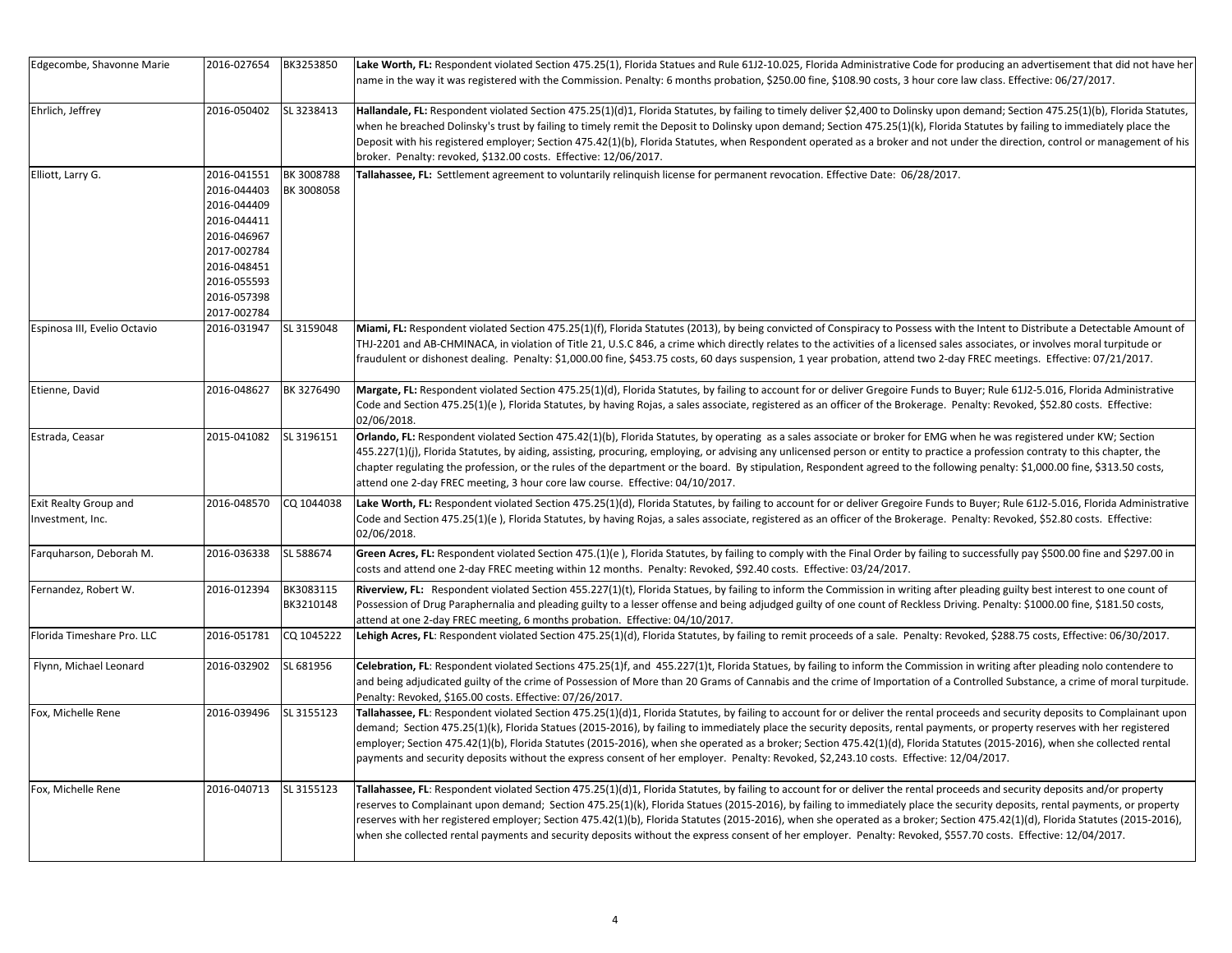| Edgecombe, Shavonne Marie                 | 2016-027654                                                                                                                                        | BK3253850                | Lake Worth, FL: Respondent violated Section 475.25(1), Florida Statues and Rule 61J2-10.025, Florida Administrative Code for producing an advertisement that did not have her<br>name in the way it was registered with the Commission. Penalty: 6 months probation, \$250.00 fine, \$108.90 costs, 3 hour core law class. Effective: 06/27/2017.                                                                                                                                                                                                                                                                                                                                                              |
|-------------------------------------------|----------------------------------------------------------------------------------------------------------------------------------------------------|--------------------------|----------------------------------------------------------------------------------------------------------------------------------------------------------------------------------------------------------------------------------------------------------------------------------------------------------------------------------------------------------------------------------------------------------------------------------------------------------------------------------------------------------------------------------------------------------------------------------------------------------------------------------------------------------------------------------------------------------------|
| Ehrlich, Jeffrey                          | 2016-050402                                                                                                                                        | SL 3238413               | Hallandale, FL: Respondent violated Section 475.25(1)(d)1, Florida Statutes, by failing to timely deliver \$2,400 to Dolinsky upon demand; Section 475.25(1)(b), Florida Statutes,<br>when he breached Dolinsky's trust by failing to timely remit the Deposit to Dolinsky upon demand; Section 475.25(1)(k), Florida Statutes by failing to immediately place the<br>Deposit with his registered employer; Section 475.42(1)(b), Florida Statutes, when Respondent operated as a broker and not under the direction, control or management of his<br>broker. Penalty: revoked, \$132.00 costs. Effective: 12/06/2017.                                                                                         |
| Elliott, Larry G.                         | 2016-041551<br>2016-044403<br>2016-044409<br>2016-044411<br>2016-046967<br>2017-002784<br>2016-048451<br>2016-055593<br>2016-057398<br>2017-002784 | BK 3008788<br>BK 3008058 | Tallahassee, FL: Settlement agreement to voluntarily relinquish license for permanent revocation. Effective Date: 06/28/2017.                                                                                                                                                                                                                                                                                                                                                                                                                                                                                                                                                                                  |
| Espinosa III, Evelio Octavio              | 2016-031947                                                                                                                                        | SL 3159048               | Miami, FL: Respondent violated Section 475.25(1)(f), Florida Statutes (2013), by being convicted of Conspiracy to Possess with the Intent to Distribute a Detectable Amount of<br>THJ-2201 and AB-CHMINACA, in violation of Title 21, U.S.C 846, a crime which directly relates to the activities of a licensed sales associates, or involves moral turpitude or<br>fraudulent or dishonest dealing. Penalty: \$1,000.00 fine, \$453.75 costs, 60 days suspension, 1 year probation, attend two 2-day FREC meetings. Effective: 07/21/2017.                                                                                                                                                                    |
| Etienne, David                            | 2016-048627                                                                                                                                        | BK 3276490               | Margate, FL: Respondent violated Section 475.25(1)(d), Florida Statutes, by failing to account for or deliver Gregoire Funds to Buyer; Rule 61J2-5.016, Florida Administrative<br>Code and Section 475.25(1)(e), Florida Statutes, by having Rojas, a sales associate, registered as an officer of the Brokerage. Penalty: Revoked, \$52.80 costs. Effective:<br>02/06/2018.                                                                                                                                                                                                                                                                                                                                   |
| Estrada, Ceasar                           | 2015-041082                                                                                                                                        | SL 3196151               | Orlando, FL: Respondent violated Section 475.42(1)(b), Florida Statutes, by operating as a sales associate or broker for EMG when he was registered under KW; Section<br>455.227(1)(j), Florida Statutes, by aiding, assisting, procuring, employing, or advising any unlicensed person or entity to practice a profession contraty to this chapter, the<br>chapter regulating the profession, or the rules of the department or the board. By stipulation, Respondent agreed to the following penalty: \$1,000.00 fine, \$313.50 costs,<br>attend one 2-day FREC meeting, 3 hour core law course. Effective: 04/10/2017.                                                                                      |
| Exit Realty Group and<br>Investment, Inc. | 2016-048570                                                                                                                                        | CQ 1044038               | Lake Worth, FL: Respondent violated Section 475.25(1)(d), Florida Statutes, by failing to account for or deliver Gregoire Funds to Buyer; Rule 61J2-5.016, Florida Administrative<br>Code and Section 475.25(1)(e), Florida Statutes, by having Rojas, a sales associate, registered as an officer of the Brokerage. Penalty: Revoked, \$52.80 costs. Effective:<br>02/06/2018.                                                                                                                                                                                                                                                                                                                                |
| Farquharson, Deborah M.                   | 2016-036338                                                                                                                                        | SL 588674                | Green Acres, FL: Respondent violated Section 475.(1)(e), Florida Statutes, by failing to comply with the Final Order by failing to successfully pay \$500.00 fine and \$297.00 in<br>costs and attend one 2-day FREC meeting within 12 months. Penalty: Revoked, \$92.40 costs. Effective: 03/24/2017.                                                                                                                                                                                                                                                                                                                                                                                                         |
| Fernandez, Robert W.                      | 2016-012394                                                                                                                                        | BK3083115<br>BK3210148   | Riverview, FL: Respondent violated Section 455.227(1)(t), Florida Statues, by failing to inform the Commission in writing after pleading guilty best interest to one count of<br>Possession of Drug Paraphernalia and pleading guilty to a lesser offense and being adjudged guilty of one count of Reckless Driving. Penalty: \$1000.00 fine, \$181.50 costs,<br>attend at one 2-day FREC meeting, 6 months probation. Effective: 04/10/2017.                                                                                                                                                                                                                                                                 |
| Florida Timeshare Pro. LLC                | 2016-051781                                                                                                                                        | CQ 1045222               | Lehigh Acres, FL: Respondent violated Section 475.25(1)(d), Florida Statutes, by failing to remit proceeds of a sale. Penalty: Revoked, \$288.75 costs, Effective: 06/30/2017.                                                                                                                                                                                                                                                                                                                                                                                                                                                                                                                                 |
| Flynn, Michael Leonard                    | 2016-032902                                                                                                                                        | SL 681956                | Celebration, FL: Respondent violated Sections 475.25(1)f, and 455.227(1)t, Florida Statues, by failing to inform the Commission in writing after pleading nolo contendere to<br>and being adjudicated guilty of the crime of Possession of More than 20 Grams of Cannabis and the crime of Importation of a Controlled Substance, a crime of moral turpitude.<br>Penalty: Revoked, \$165.00 costs. Effective: 07/26/2017.                                                                                                                                                                                                                                                                                      |
| Fox, Michelle Rene                        | 2016-039496                                                                                                                                        | SL 3155123               | Tallahassee, FL: Respondent violated Section 475.25(1)(d)1, Florida Statutes, by failing to account for or deliver the rental proceeds and security deposits to Complainant upon<br>demand; Section 475.25(1)(k), Florida Statues (2015-2016), by failing to immediately place the security deposits, rental payments, or property reserves with her registered<br>employer; Section 475.42(1)(b), Florida Statutes (2015-2016), when she operated as a broker; Section 475.42(1)(d), Florida Statutes (2015-2016), when she collected rental<br>payments and security deposits without the express consent of her employer. Penalty: Revoked, \$2,243.10 costs. Effective: 12/04/2017.                        |
| Fox, Michelle Rene                        | 2016-040713                                                                                                                                        | SL 3155123               | Tallahassee, FL: Respondent violated Section 475.25(1)(d)1, Florida Statutes, by failing to account for or deliver the rental proceeds and security deposits and/or property<br>reserves to Complainant upon demand; Section 475.25(1)(k), Florida Statues (2015-2016), by failing to immediately place the security deposits, rental payments, or property<br>reserves with her registered employer; Section 475.42(1)(b), Florida Statutes (2015-2016), when she operated as a broker; Section 475.42(1)(d), Florida Statutes (2015-2016),<br>when she collected rental payments and security deposits without the express consent of her employer. Penalty: Revoked, \$557.70 costs. Effective: 12/04/2017. |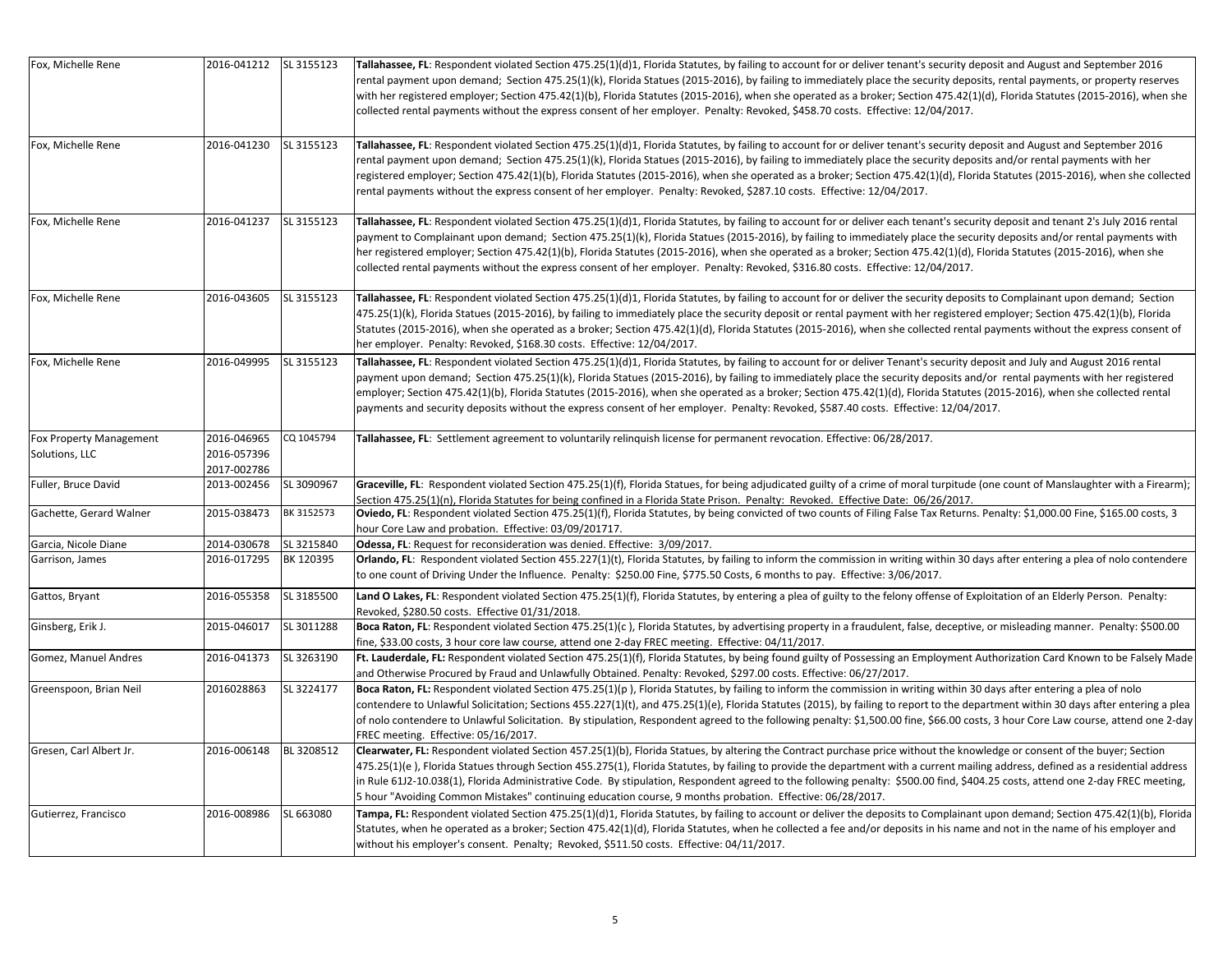| Fox, Michelle Rene                        | 2016-041212 SL 3155123                    |            | Tallahassee, FL: Respondent violated Section 475.25(1)(d)1, Florida Statutes, by failing to account for or deliver tenant's security deposit and August and September 2016<br>rental payment upon demand; Section 475.25(1)(k), Florida Statues (2015-2016), by failing to immediately place the security deposits, rental payments, or property reserves<br>with her registered employer; Section 475.42(1)(b), Florida Statutes (2015-2016), when she operated as a broker; Section 475.42(1)(d), Florida Statutes (2015-2016), when she<br>collected rental payments without the express consent of her employer. Penalty: Revoked, \$458.70 costs. Effective: 12/04/2017.  |
|-------------------------------------------|-------------------------------------------|------------|--------------------------------------------------------------------------------------------------------------------------------------------------------------------------------------------------------------------------------------------------------------------------------------------------------------------------------------------------------------------------------------------------------------------------------------------------------------------------------------------------------------------------------------------------------------------------------------------------------------------------------------------------------------------------------|
| Fox, Michelle Rene                        | 2016-041230                               | SL 3155123 | Tallahassee, FL: Respondent violated Section 475.25(1)(d)1, Florida Statutes, by failing to account for or deliver tenant's security deposit and August and September 2016<br>rental payment upon demand; Section 475.25(1)(k), Florida Statues (2015-2016), by failing to immediately place the security deposits and/or rental payments with her<br>registered employer; Section 475.42(1)(b), Florida Statutes (2015-2016), when she operated as a broker; Section 475.42(1)(d), Florida Statutes (2015-2016), when she collected<br>rental payments without the express consent of her employer. Penalty: Revoked, \$287.10 costs. Effective: 12/04/2017.                  |
| Fox, Michelle Rene                        | 2016-041237                               | SL 3155123 | Tallahassee, FL: Respondent violated Section 475.25(1)(d)1, Florida Statutes, by failing to account for or deliver each tenant's security deposit and tenant 2's July 2016 rental<br>payment to Complainant upon demand; Section 475.25(1)(k), Florida Statues (2015-2016), by failing to immediately place the security deposits and/or rental payments with<br>her registered employer; Section 475.42(1)(b), Florida Statutes (2015-2016), when she operated as a broker; Section 475.42(1)(d), Florida Statutes (2015-2016), when she<br>collected rental payments without the express consent of her employer. Penalty: Revoked, \$316.80 costs. Effective: 12/04/2017.   |
| Fox, Michelle Rene                        | 2016-043605                               | SL 3155123 | Tallahassee, FL: Respondent violated Section 475.25(1)(d)1, Florida Statutes, by failing to account for or deliver the security deposits to Complainant upon demand; Section<br>475.25(1)(k), Florida Statues (2015-2016), by failing to immediately place the security deposit or rental payment with her registered employer; Section 475.42(1)(b), Florida<br>Statutes (2015-2016), when she operated as a broker; Section 475.42(1)(d), Florida Statutes (2015-2016), when she collected rental payments without the express consent of<br>her employer. Penalty: Revoked, \$168.30 costs. Effective: 12/04/2017.                                                          |
| Fox, Michelle Rene                        | 2016-049995                               | SL 3155123 | Tallahassee, FL: Respondent violated Section 475.25(1)(d)1, Florida Statutes, by failing to account for or deliver Tenant's security deposit and July and August 2016 rental<br>payment upon demand; Section 475.25(1)(k), Florida Statues (2015-2016), by failing to immediately place the security deposits and/or rental payments with her registered<br>employer; Section 475.42(1)(b), Florida Statutes (2015-2016), when she operated as a broker; Section 475.42(1)(d), Florida Statutes (2015-2016), when she collected rental<br>payments and security deposits without the express consent of her employer. Penalty: Revoked, \$587.40 costs. Effective: 12/04/2017. |
| Fox Property Management<br>Solutions, LLC | 2016-046965<br>2016-057396<br>2017-002786 | CQ 1045794 | Tallahassee, FL: Settlement agreement to voluntarily relinquish license for permanent revocation. Effective: 06/28/2017.                                                                                                                                                                                                                                                                                                                                                                                                                                                                                                                                                       |
| Fuller, Bruce David                       | 2013-002456                               | SL 3090967 | Graceville, FL: Respondent violated Section 475.25(1)(f), Florida Statues, for being adjudicated guilty of a crime of moral turpitude (one count of Manslaughter with a Firearm);<br>Section 475.25(1)(n), Florida Statutes for being confined in a Florida State Prison. Penalty: Revoked. Effective Date: 06/26/2017.                                                                                                                                                                                                                                                                                                                                                        |
| Gachette, Gerard Walner                   | 2015-038473                               | BK 3152573 | Oviedo, FL: Respondent violated Section 475.25(1)(f), Florida Statutes, by being convicted of two counts of Filing False Tax Returns. Penalty: \$1,000.00 Fine, \$165.00 costs, 3<br>hour Core Law and probation. Effective: 03/09/201717.                                                                                                                                                                                                                                                                                                                                                                                                                                     |
| Garcia, Nicole Diane                      | 2014-030678                               | SL 3215840 | Odessa, FL: Request for reconsideration was denied. Effective: 3/09/2017.                                                                                                                                                                                                                                                                                                                                                                                                                                                                                                                                                                                                      |
| Garrison, James                           | 2016-017295                               | BK 120395  | Orlando, FL: Respondent violated Section 455.227(1)(t), Florida Statutes, by failing to inform the commission in writing within 30 days after entering a plea of nolo contendere<br>to one count of Driving Under the Influence. Penalty: \$250.00 Fine, \$775.50 Costs, 6 months to pay. Effective: 3/06/2017.                                                                                                                                                                                                                                                                                                                                                                |
| Gattos, Bryant                            | 2016-055358                               | SL 3185500 | Land O Lakes, FL: Respondent violated Section 475.25(1)(f), Florida Statutes, by entering a plea of guilty to the felony offense of Exploitation of an Elderly Person. Penalty:<br>Revoked, \$280.50 costs. Effective 01/31/2018.                                                                                                                                                                                                                                                                                                                                                                                                                                              |
| Ginsberg, Erik J.                         | 2015-046017                               | SL 3011288 | Boca Raton, FL: Respondent violated Section 475.25(1)(c), Florida Statutes, by advertising property in a fraudulent, false, deceptive, or misleading manner. Penalty: \$500.00<br>fine, \$33.00 costs, 3 hour core law course, attend one 2-day FREC meeting. Effective: 04/11/2017.                                                                                                                                                                                                                                                                                                                                                                                           |
| Gomez, Manuel Andres                      | 2016-041373                               | SL 3263190 | Ft. Lauderdale, FL: Respondent violated Section 475.25(1)(f), Florida Statutes, by being found guilty of Possessing an Employment Authorization Card Known to be Falsely Made<br>and Otherwise Procured by Fraud and Unlawfully Obtained. Penalty: Revoked, \$297.00 costs. Effective: 06/27/2017.                                                                                                                                                                                                                                                                                                                                                                             |
| Greenspoon, Brian Neil                    | 2016028863                                | SL 3224177 | Boca Raton, FL: Respondent violated Section 475.25(1)(p), Florida Statutes, by failing to inform the commission in writing within 30 days after entering a plea of nolo<br>contendere to Unlawful Solicitation; Sections 455.227(1)(t), and 475.25(1)(e), Florida Statutes (2015), by failing to report to the department within 30 days after entering a plea<br>of nolo contendere to Unlawful Solicitation. By stipulation, Respondent agreed to the following penalty: \$1,500.00 fine, \$66.00 costs, 3 hour Core Law course, attend one 2-day<br>FREC meeting. Effective: 05/16/2017.                                                                                    |
| Gresen, Carl Albert Jr.                   | 2016-006148                               | BL 3208512 | Clearwater, FL: Respondent violated Section 457.25(1)(b), Florida Statues, by altering the Contract purchase price without the knowledge or consent of the buyer; Section<br>475.25(1)(e), Florida Statues through Section 455.275(1), Florida Statutes, by failing to provide the department with a current mailing address, defined as a residential address<br>in Rule 61J2-10.038(1), Florida Administrative Code. By stipulation, Respondent agreed to the following penalty: \$500.00 find, \$404.25 costs, attend one 2-day FREC meeting,<br>5 hour "Avoiding Common Mistakes" continuing education course, 9 months probation. Effective: 06/28/2017.                  |
| Gutierrez, Francisco                      | 2016-008986                               | SL 663080  | Tampa, FL: Respondent violated Section 475.25(1)(d)1, Florida Statutes, by failing to account or deliver the deposits to Complainant upon demand; Section 475.42(1)(b), Florida<br>Statutes, when he operated as a broker; Section 475.42(1)(d), Florida Statutes, when he collected a fee and/or deposits in his name and not in the name of his employer and<br>without his employer's consent. Penalty; Revoked, \$511.50 costs. Effective: 04/11/2017.                                                                                                                                                                                                                     |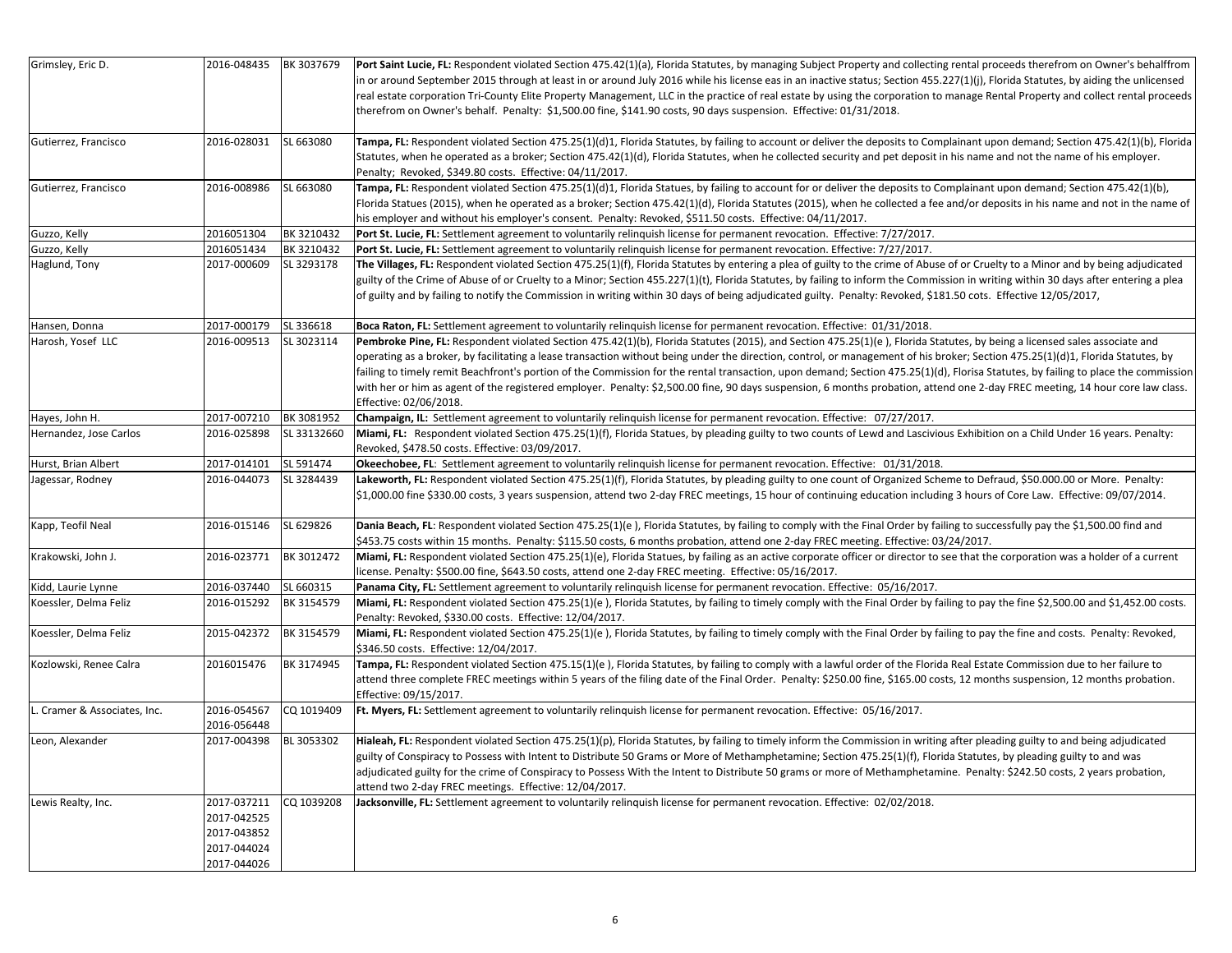| Grimsley, Eric D.            | 2016-048435                                                             | BK 3037679  | Port Saint Lucie, FL: Respondent violated Section 475.42(1)(a), Florida Statutes, by managing Subject Property and collecting rental proceeds therefrom on Owner's behalffrom<br>in or around September 2015 through at least in or around July 2016 while his license eas in an inactive status; Section 455.227(1)(j), Florida Statutes, by aiding the unlicensed<br>real estate corporation Tri-County Elite Property Management, LLC in the practice of real estate by using the corporation to manage Rental Property and collect rental proceeds<br>therefrom on Owner's behalf. Penalty: \$1,500.00 fine, \$141.90 costs, 90 days suspension. Effective: 01/31/2018.                                                                                   |
|------------------------------|-------------------------------------------------------------------------|-------------|---------------------------------------------------------------------------------------------------------------------------------------------------------------------------------------------------------------------------------------------------------------------------------------------------------------------------------------------------------------------------------------------------------------------------------------------------------------------------------------------------------------------------------------------------------------------------------------------------------------------------------------------------------------------------------------------------------------------------------------------------------------|
| Gutierrez, Francisco         | 2016-028031                                                             | SL 663080   | Tampa, FL: Respondent violated Section 475.25(1)(d)1, Florida Statutes, by failing to account or deliver the deposits to Complainant upon demand; Section 475.42(1)(b), Florida<br>Statutes, when he operated as a broker; Section 475.42(1)(d), Florida Statutes, when he collected security and pet deposit in his name and not the name of his employer.<br>Penalty; Revoked, \$349.80 costs. Effective: 04/11/2017.                                                                                                                                                                                                                                                                                                                                       |
| Gutierrez, Francisco         | 2016-008986                                                             | SL 663080   | Tampa, FL: Respondent violated Section 475.25(1)(d)1, Florida Statues, by failing to account for or deliver the deposits to Complainant upon demand; Section 475.42(1)(b),<br>Florida Statues (2015), when he operated as a broker; Section 475.42(1)(d), Florida Statutes (2015), when he collected a fee and/or deposits in his name and not in the name of<br>his employer and without his employer's consent. Penalty: Revoked, \$511.50 costs. Effective: 04/11/2017.                                                                                                                                                                                                                                                                                    |
| Guzzo, Kelly                 | 2016051304                                                              | BK 3210432  | Port St. Lucie, FL: Settlement agreement to voluntarily relinguish license for permanent revocation. Effective: 7/27/2017.                                                                                                                                                                                                                                                                                                                                                                                                                                                                                                                                                                                                                                    |
| Guzzo, Kelly                 | 2016051434                                                              | BK 3210432  | Port St. Lucie, FL: Settlement agreement to voluntarily relinquish license for permanent revocation. Effective: 7/27/2017.                                                                                                                                                                                                                                                                                                                                                                                                                                                                                                                                                                                                                                    |
| Haglund, Tony                | 2017-000609                                                             | SL 3293178  | The Villages, FL: Respondent violated Section 475.25(1)(f), Florida Statutes by entering a plea of guilty to the crime of Abuse of or Cruelty to a Minor and by being adjudicated<br>guilty of the Crime of Abuse of or Cruelty to a Minor; Section 455.227(1)(t), Florida Statutes, by failing to inform the Commission in writing within 30 days after entering a plea<br>of guilty and by failing to notify the Commission in writing within 30 days of being adjudicated guilty. Penalty: Revoked, \$181.50 cots. Effective 12/05/2017,                                                                                                                                                                                                                   |
| Hansen, Donna                | 2017-000179                                                             | SL 336618   | Boca Raton, FL: Settlement agreement to voluntarily relinquish license for permanent revocation. Effective: 01/31/2018.                                                                                                                                                                                                                                                                                                                                                                                                                                                                                                                                                                                                                                       |
| Harosh, Yosef LLC            | 2016-009513                                                             | SL 3023114  | Pembroke Pine, FL: Respondent violated Section 475.42(1)(b), Florida Statutes (2015), and Section 475.25(1)(e), Florida Statutes, by being a licensed sales associate and<br>operating as a broker, by facilitating a lease transaction without being under the direction, control, or management of his broker; Section 475.25(1)(d)1, Florida Statutes, by<br>failing to timely remit Beachfront's portion of the Commission for the rental transaction, upon demand; Section 475.25(1)(d), Florisa Statutes, by failing to place the commission<br>with her or him as agent of the registered employer. Penalty: \$2,500.00 fine, 90 days suspension, 6 months probation, attend one 2-day FREC meeting, 14 hour core law class.<br>Effective: 02/06/2018. |
| Hayes, John H.               | 2017-007210                                                             | BK 3081952  | Champaign, IL: Settlement agreement to voluntarily relinquish license for permanent revocation. Effective: 07/27/2017.                                                                                                                                                                                                                                                                                                                                                                                                                                                                                                                                                                                                                                        |
| Hernandez, Jose Carlos       | 2016-025898                                                             | SL 33132660 | Miami, FL: Respondent violated Section 475.25(1)(f), Florida Statues, by pleading guilty to two counts of Lewd and Lascivious Exhibition on a Child Under 16 years. Penalty:<br>Revoked, \$478.50 costs. Effective: 03/09/2017.                                                                                                                                                                                                                                                                                                                                                                                                                                                                                                                               |
| Hurst, Brian Albert          | 2017-014101                                                             | SL 591474   | Okeechobee, FL: Settlement agreement to voluntarily relinquish license for permanent revocation. Effective: 01/31/2018.                                                                                                                                                                                                                                                                                                                                                                                                                                                                                                                                                                                                                                       |
| Jagessar, Rodney             | 2016-044073                                                             | SL 3284439  | Lakeworth, FL: Respondent violated Section 475.25(1)(f), Florida Statutes, by pleading guilty to one count of Organized Scheme to Defraud, \$50.000.00 or More. Penalty:<br>\$1,000.00 fine \$330.00 costs, 3 years suspension, attend two 2-day FREC meetings, 15 hour of continuing education including 3 hours of Core Law. Effective: 09/07/2014.                                                                                                                                                                                                                                                                                                                                                                                                         |
| Kapp, Teofil Neal            | 2016-015146                                                             | SL 629826   | Dania Beach, FL: Respondent violated Section 475.25(1)(e), Florida Statutes, by failing to comply with the Final Order by failing to successfully pay the \$1,500.00 find and<br>\$453.75 costs within 15 months. Penalty: \$115.50 costs, 6 months probation, attend one 2-day FREC meeting. Effective: 03/24/2017.                                                                                                                                                                                                                                                                                                                                                                                                                                          |
| Krakowski, John J.           | 2016-023771                                                             | BK 3012472  | Miami, FL: Respondent violated Section 475.25(1)(e), Florida Statues, by failing as an active corporate officer or director to see that the corporation was a holder of a current<br>license. Penalty: \$500.00 fine, \$643.50 costs, attend one 2-day FREC meeting. Effective: 05/16/2017.                                                                                                                                                                                                                                                                                                                                                                                                                                                                   |
| Kidd, Laurie Lynne           | 2016-037440                                                             | SL 660315   | Panama City, FL: Settlement agreement to voluntarily relinquish license for permanent revocation. Effective: 05/16/2017.                                                                                                                                                                                                                                                                                                                                                                                                                                                                                                                                                                                                                                      |
| Koessler, Delma Feliz        | 2016-015292                                                             | BK 3154579  | Miami, FL: Respondent violated Section 475.25(1)(e), Florida Statutes, by failing to timely comply with the Final Order by failing to pay the fine \$2,500.00 and \$1,452.00 costs.<br>Penalty: Revoked, \$330.00 costs. Effective: 12/04/2017.                                                                                                                                                                                                                                                                                                                                                                                                                                                                                                               |
| Koessler, Delma Feliz        | 2015-042372                                                             | BK 3154579  | Miami, FL: Respondent violated Section 475.25(1)(e), Florida Statutes, by failing to timely comply with the Final Order by failing to pay the fine and costs. Penalty: Revoked,<br>\$346.50 costs. Effective: 12/04/2017.                                                                                                                                                                                                                                                                                                                                                                                                                                                                                                                                     |
| Kozlowski, Renee Calra       | 2016015476                                                              | BK 3174945  | Tampa, FL: Respondent violated Section 475.15(1)(e), Florida Statutes, by failing to comply with a lawful order of the Florida Real Estate Commission due to her failure to<br>attend three complete FREC meetings within 5 years of the filing date of the Final Order. Penalty: \$250.00 fine, \$165.00 costs, 12 months suspension, 12 months probation.<br>Effective: 09/15/2017.                                                                                                                                                                                                                                                                                                                                                                         |
| L. Cramer & Associates, Inc. | 2016-054567<br>2016-056448                                              | CQ 1019409  | Ft. Myers, FL: Settlement agreement to voluntarily relinquish license for permanent revocation. Effective: 05/16/2017.                                                                                                                                                                                                                                                                                                                                                                                                                                                                                                                                                                                                                                        |
| Leon, Alexander              | 2017-004398                                                             | BL 3053302  | Hialeah, FL: Respondent violated Section 475.25(1)(p), Florida Statutes, by failing to timely inform the Commission in writing after pleading guilty to and being adjudicated<br>guilty of Conspiracy to Possess with Intent to Distribute 50 Grams or More of Methamphetamine; Section 475.25(1)(f), Florida Statutes, by pleading guilty to and was<br>adjudicated guilty for the crime of Conspiracy to Possess With the Intent to Distribute 50 grams or more of Methamphetamine. Penalty: \$242.50 costs, 2 years probation,<br>attend two 2-day FREC meetings. Effective: 12/04/2017.                                                                                                                                                                   |
| Lewis Realty, Inc.           | 2017-037211<br>2017-042525<br>2017-043852<br>2017-044024<br>2017-044026 | CQ 1039208  | Jacksonville, FL: Settlement agreement to voluntarily relinquish license for permanent revocation. Effective: 02/02/2018.                                                                                                                                                                                                                                                                                                                                                                                                                                                                                                                                                                                                                                     |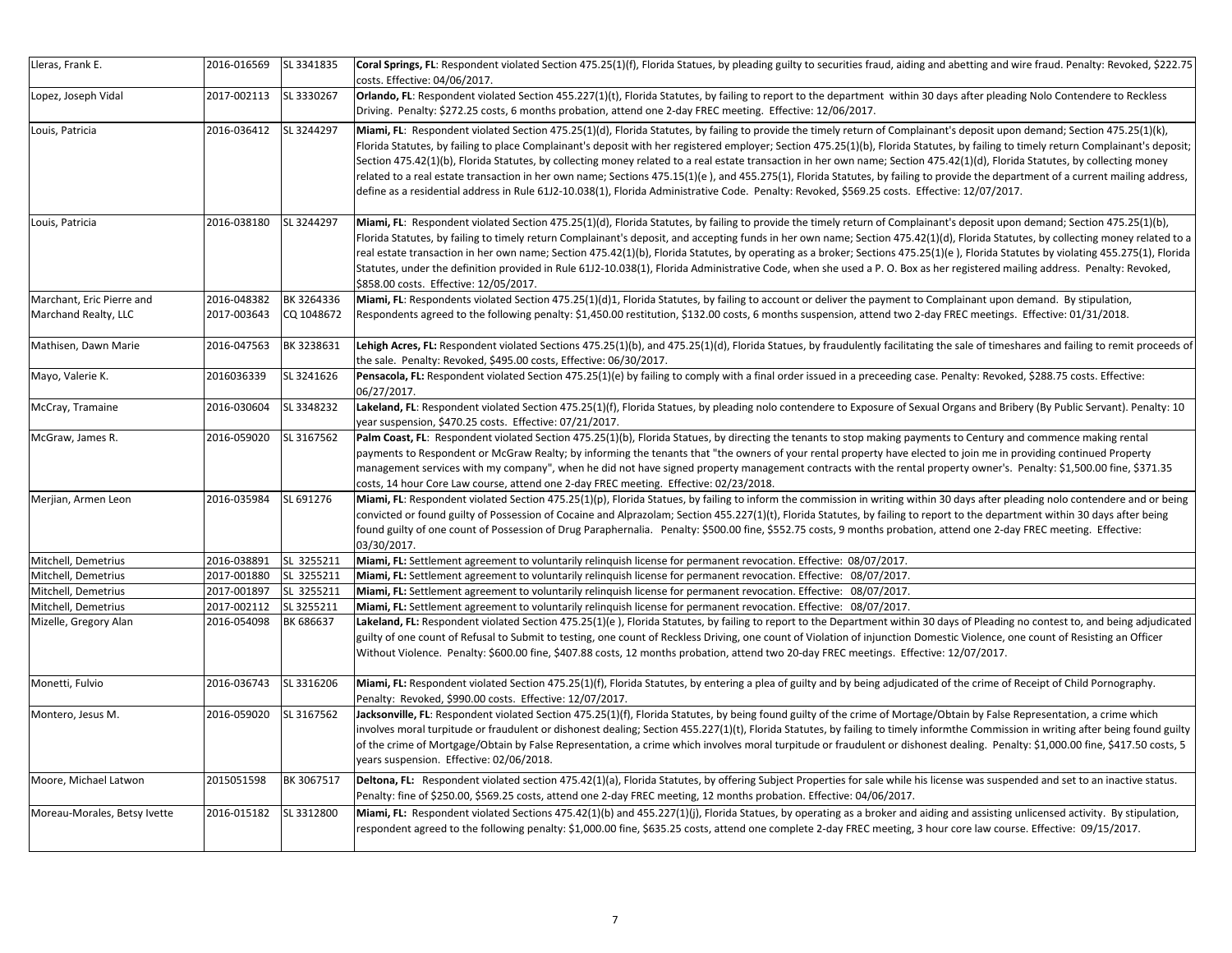| Lleras, Frank E.             | 2016-016569 | SL 3341835 | Coral Springs, FL: Respondent violated Section 475.25(1)(f), Florida Statues, by pleading guilty to securities fraud, aiding and abetting and wire fraud. Penalty: Revoked, \$222.75<br>costs. Effective: 04/06/2017.                                                                                                                                                                                                                                                                                                                                                                                                                                                                                                                                                                                                                                                                     |
|------------------------------|-------------|------------|-------------------------------------------------------------------------------------------------------------------------------------------------------------------------------------------------------------------------------------------------------------------------------------------------------------------------------------------------------------------------------------------------------------------------------------------------------------------------------------------------------------------------------------------------------------------------------------------------------------------------------------------------------------------------------------------------------------------------------------------------------------------------------------------------------------------------------------------------------------------------------------------|
| Lopez, Joseph Vidal          | 2017-002113 | SL 3330267 | Orlando, FL: Respondent violated Section 455.227(1)(t), Florida Statutes, by failing to report to the department within 30 days after pleading Nolo Contendere to Reckless<br>Driving. Penalty: \$272.25 costs, 6 months probation, attend one 2-day FREC meeting. Effective: 12/06/2017.                                                                                                                                                                                                                                                                                                                                                                                                                                                                                                                                                                                                 |
| Louis, Patricia              | 2016-036412 | SL 3244297 | Miami, FL: Respondent violated Section 475.25(1)(d), Florida Statutes, by failing to provide the timely return of Complainant's deposit upon demand; Section 475.25(1)(k),<br>Florida Statutes, by failing to place Complainant's deposit with her registered employer; Section 475.25(1)(b), Florida Statutes, by failing to timely return Complainant's deposit;<br>Section 475.42(1)(b), Florida Statutes, by collecting money related to a real estate transaction in her own name; Section 475.42(1)(d), Florida Statutes, by collecting money<br>related to a real estate transaction in her own name; Sections 475.15(1)(e), and 455.275(1), Florida Statutes, by failing to provide the department of a current mailing address,<br>define as a residential address in Rule 61J2-10.038(1), Florida Administrative Code. Penalty: Revoked, \$569.25 costs. Effective: 12/07/2017. |
| Louis, Patricia              | 2016-038180 | SL 3244297 | Miami, FL: Respondent violated Section 475.25(1)(d), Florida Statutes, by failing to provide the timely return of Complainant's deposit upon demand; Section 475.25(1)(b),<br>Florida Statutes, by failing to timely return Complainant's deposit, and accepting funds in her own name; Section 475.42(1)(d), Florida Statutes, by collecting money related to a<br>real estate transaction in her own name; Section 475.42(1)(b), Florida Statutes, by operating as a broker; Sections 475.25(1)(e), Florida Statutes by violating 455.275(1), Florida<br>Statutes, under the definition provided in Rule 61J2-10.038(1), Florida Administrative Code, when she used a P. O. Box as her registered mailing address. Penalty: Revoked,<br>\$858.00 costs. Effective: 12/05/2017.                                                                                                          |
| Marchant, Eric Pierre and    | 2016-048382 | BK 3264336 | Miami, FL: Respondents violated Section 475.25(1)(d)1, Florida Statutes, by failing to account or deliver the payment to Complainant upon demand. By stipulation,                                                                                                                                                                                                                                                                                                                                                                                                                                                                                                                                                                                                                                                                                                                         |
| Marchand Realty, LLC         | 2017-003643 | CQ 1048672 | Respondents agreed to the following penalty: \$1,450.00 restitution, \$132.00 costs, 6 months suspension, attend two 2-day FREC meetings. Effective: 01/31/2018.                                                                                                                                                                                                                                                                                                                                                                                                                                                                                                                                                                                                                                                                                                                          |
| Mathisen, Dawn Marie         | 2016-047563 | BK 3238631 | Lehigh Acres, FL: Respondent violated Sections 475.25(1)(b), and 475.25(1)(d), Florida Statues, by fraudulently facilitating the sale of timeshares and failing to remit proceeds of<br>the sale. Penalty: Revoked, \$495.00 costs, Effective: 06/30/2017.                                                                                                                                                                                                                                                                                                                                                                                                                                                                                                                                                                                                                                |
| Mayo, Valerie K.             | 2016036339  | SL 3241626 | Pensacola, FL: Respondent violated Section 475.25(1)(e) by failing to comply with a final order issued in a preceeding case. Penalty: Revoked, \$288.75 costs. Effective:<br>06/27/2017.                                                                                                                                                                                                                                                                                                                                                                                                                                                                                                                                                                                                                                                                                                  |
| McCray, Tramaine             | 2016-030604 | SL 3348232 | Lakeland, FL: Respondent violated Section 475.25(1)(f), Florida Statues, by pleading nolo contendere to Exposure of Sexual Organs and Bribery (By Public Servant). Penalty: 10<br>year suspension, \$470.25 costs. Effective: 07/21/2017.                                                                                                                                                                                                                                                                                                                                                                                                                                                                                                                                                                                                                                                 |
| McGraw, James R.             | 2016-059020 | SL 3167562 | Palm Coast, FL: Respondent violated Section 475.25(1)(b), Florida Statues, by directing the tenants to stop making payments to Century and commence making rental<br>payments to Respondent or McGraw Realty; by informing the tenants that "the owners of your rental property have elected to join me in providing continued Property<br>management services with my company", when he did not have signed property management contracts with the rental property owner's. Penalty: \$1,500.00 fine, \$371.35<br>costs, 14 hour Core Law course, attend one 2-day FREC meeting. Effective: 02/23/2018.                                                                                                                                                                                                                                                                                  |
| Merjian, Armen Leon          | 2016-035984 | SL 691276  | Miami, FL: Respondent violated Section 475.25(1)(p), Florida Statues, by failing to inform the commission in writing within 30 days after pleading nolo contendere and or being<br>convicted or found guilty of Possession of Cocaine and Alprazolam; Section 455.227(1)(t), Florida Statutes, by failing to report to the department within 30 days after being<br>found guilty of one count of Possession of Drug Paraphernalia. Penalty: \$500.00 fine, \$552.75 costs, 9 months probation, attend one 2-day FREC meeting. Effective:<br>03/30/2017.                                                                                                                                                                                                                                                                                                                                   |
| Mitchell, Demetrius          | 2016-038891 | SL 3255211 | Miami, FL: Settlement agreement to voluntarily relinguish license for permanent revocation. Effective: 08/07/2017.                                                                                                                                                                                                                                                                                                                                                                                                                                                                                                                                                                                                                                                                                                                                                                        |
| Mitchell, Demetrius          | 2017-001880 | SL 3255211 | Miami, FL: Settlement agreement to voluntarily relinguish license for permanent revocation. Effective: 08/07/2017.                                                                                                                                                                                                                                                                                                                                                                                                                                                                                                                                                                                                                                                                                                                                                                        |
| Mitchell, Demetrius          | 2017-001897 | SL 3255211 | Miami, FL: Settlement agreement to voluntarily relinquish license for permanent revocation. Effective: 08/07/2017.                                                                                                                                                                                                                                                                                                                                                                                                                                                                                                                                                                                                                                                                                                                                                                        |
| Mitchell, Demetrius          | 2017-002112 | SL 3255211 | Miami, FL: Settlement agreement to voluntarily relinguish license for permanent revocation. Effective: 08/07/2017.                                                                                                                                                                                                                                                                                                                                                                                                                                                                                                                                                                                                                                                                                                                                                                        |
| Mizelle, Gregory Alan        | 2016-054098 | BK 686637  | Lakeland, FL: Respondent violated Section 475.25(1)(e), Florida Statutes, by failing to report to the Department within 30 days of Pleading no contest to, and being adjudicated<br>guilty of one count of Refusal to Submit to testing, one count of Reckless Driving, one count of Violation of injunction Domestic Violence, one count of Resisting an Officer<br>Without Violence. Penalty: \$600.00 fine, \$407.88 costs, 12 months probation, attend two 20-day FREC meetings. Effective: 12/07/2017.                                                                                                                                                                                                                                                                                                                                                                               |
| Monetti, Fulvio              | 2016-036743 | SL 3316206 | Miami, FL: Respondent violated Section 475.25(1)(f), Florida Statutes, by entering a plea of guilty and by being adjudicated of the crime of Receipt of Child Pornography.<br>Penalty: Revoked, \$990.00 costs. Effective: 12/07/2017.                                                                                                                                                                                                                                                                                                                                                                                                                                                                                                                                                                                                                                                    |
| Montero, Jesus M.            | 2016-059020 | SL 3167562 | Jacksonville, FL: Respondent violated Section 475.25(1)(f), Florida Statutes, by being found guilty of the crime of Mortage/Obtain by False Representation, a crime which<br>involves moral turpitude or fraudulent or dishonest dealing; Section 455.227(1)(t), Florida Statutes, by failing to timely informthe Commission in writing after being found guilty<br>of the crime of Mortgage/Obtain by False Representation, a crime which involves moral turpitude or fraudulent or dishonest dealing. Penalty: \$1,000.00 fine, \$417.50 costs, 5<br>years suspension. Effective: 02/06/2018.                                                                                                                                                                                                                                                                                           |
| Moore, Michael Latwon        | 2015051598  | BK 3067517 | Deltona, FL: Respondent violated section 475.42(1)(a), Florida Statutes, by offering Subject Properties for sale while his license was suspended and set to an inactive status.<br>Penalty: fine of \$250.00, \$569.25 costs, attend one 2-day FREC meeting, 12 months probation. Effective: 04/06/2017.                                                                                                                                                                                                                                                                                                                                                                                                                                                                                                                                                                                  |
| Moreau-Morales, Betsy Ivette | 2016-015182 | SL 3312800 | Miami, FL: Respondent violated Sections 475.42(1)(b) and 455.227(1)(j), Florida Statues, by operating as a broker and aiding and assisting unlicensed activity. By stipulation,<br>respondent agreed to the following penalty: \$1,000.00 fine, \$635.25 costs, attend one complete 2-day FREC meeting, 3 hour core law course. Effective: 09/15/2017.                                                                                                                                                                                                                                                                                                                                                                                                                                                                                                                                    |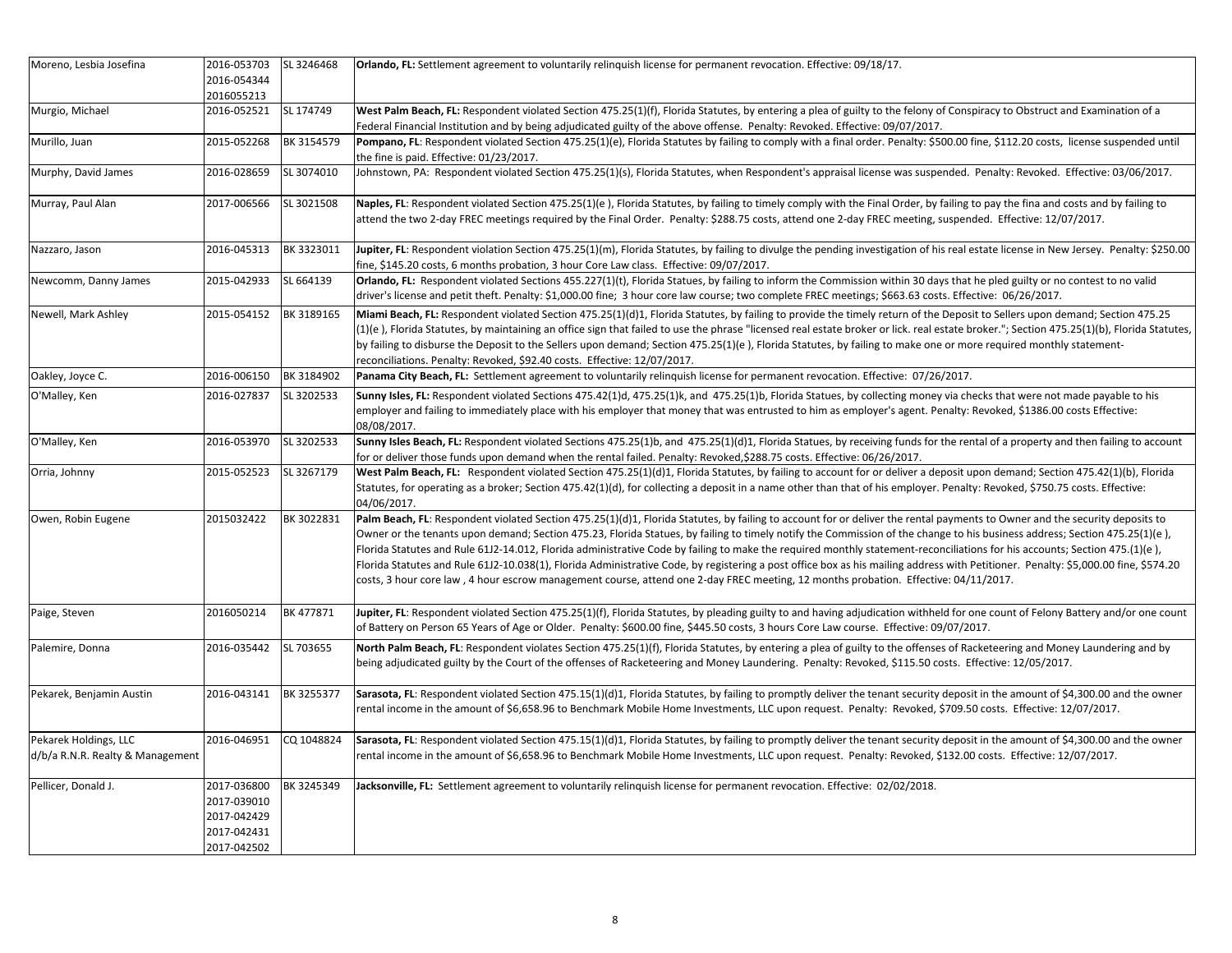| Moreno, Lesbia Josefina                                   | 2016-053703<br>2016-054344                                              | SL 3246468 | Orlando, FL: Settlement agreement to voluntarily relinguish license for permanent revocation. Effective: 09/18/17.                                                                                                                                                                                                                                                                                                                                                                                                                                                                                                                                                                                                                                                                                                                                                   |
|-----------------------------------------------------------|-------------------------------------------------------------------------|------------|----------------------------------------------------------------------------------------------------------------------------------------------------------------------------------------------------------------------------------------------------------------------------------------------------------------------------------------------------------------------------------------------------------------------------------------------------------------------------------------------------------------------------------------------------------------------------------------------------------------------------------------------------------------------------------------------------------------------------------------------------------------------------------------------------------------------------------------------------------------------|
| Murgio, Michael                                           | 2016055213<br>2016-052521                                               | SL 174749  | West Palm Beach, FL: Respondent violated Section 475.25(1)(f), Florida Statutes, by entering a plea of guilty to the felony of Conspiracy to Obstruct and Examination of a                                                                                                                                                                                                                                                                                                                                                                                                                                                                                                                                                                                                                                                                                           |
|                                                           |                                                                         |            | Federal Financial Institution and by being adjudicated guilty of the above offense. Penalty: Revoked. Effective: 09/07/2017.                                                                                                                                                                                                                                                                                                                                                                                                                                                                                                                                                                                                                                                                                                                                         |
| Murillo, Juan                                             | 2015-052268                                                             | BK 3154579 | Pompano, FL: Respondent violated Section 475.25(1)(e), Florida Statutes by failing to comply with a final order. Penalty: \$500.00 fine, \$112.20 costs, license suspended until<br>the fine is paid. Effective: 01/23/2017.                                                                                                                                                                                                                                                                                                                                                                                                                                                                                                                                                                                                                                         |
| Murphy, David James                                       | 2016-028659                                                             | SL 3074010 | Johnstown, PA: Respondent violated Section 475.25(1)(s), Florida Statutes, when Respondent's appraisal license was suspended. Penalty: Revoked. Effective: 03/06/2017.                                                                                                                                                                                                                                                                                                                                                                                                                                                                                                                                                                                                                                                                                               |
| Murray, Paul Alan                                         | 2017-006566                                                             | SL 3021508 | Naples, FL: Respondent violated Section 475.25(1)(e), Florida Statutes, by failing to timely comply with the Final Order, by failing to pay the fina and costs and by failing to<br>attend the two 2-day FREC meetings required by the Final Order. Penalty: \$288.75 costs, attend one 2-day FREC meeting, suspended. Effective: 12/07/2017.                                                                                                                                                                                                                                                                                                                                                                                                                                                                                                                        |
| Nazzaro, Jason                                            | 2016-045313                                                             | BK 3323011 | Jupiter, FL: Respondent violation Section 475.25(1)(m), Florida Statutes, by failing to divulge the pending investigation of his real estate license in New Jersey. Penalty: \$250.00<br>fine, \$145.20 costs, 6 months probation, 3 hour Core Law class. Effective: 09/07/2017.                                                                                                                                                                                                                                                                                                                                                                                                                                                                                                                                                                                     |
| Newcomm, Danny James                                      | 2015-042933                                                             | SL 664139  | Orlando, FL: Respondent violated Sections 455.227(1)(t), Florida Statues, by failing to inform the Commission within 30 days that he pled guilty or no contest to no valid<br>driver's license and petit theft. Penalty: \$1,000.00 fine; 3 hour core law course; two complete FREC meetings; \$663.63 costs. Effective: 06/26/2017.                                                                                                                                                                                                                                                                                                                                                                                                                                                                                                                                 |
| Newell, Mark Ashley                                       | 2015-054152                                                             | BK 3189165 | Miami Beach, FL: Respondent violated Section 475.25(1)(d)1, Florida Statutes, by failing to provide the timely return of the Deposit to Sellers upon demand; Section 475.25<br>(1)(e), Florida Statutes, by maintaining an office sign that failed to use the phrase "licensed real estate broker or lick. real estate broker."; Section 475.25(1)(b), Florida Statutes,<br>by failing to disburse the Deposit to the Sellers upon demand; Section 475.25(1)(e), Florida Statutes, by failing to make one or more required monthly statement-<br>reconciliations. Penalty: Revoked, \$92.40 costs. Effective: 12/07/2017.                                                                                                                                                                                                                                            |
| Oakley, Joyce C.                                          | 2016-006150                                                             | BK 3184902 | Panama City Beach, FL: Settlement agreement to voluntarily relinguish license for permanent revocation. Effective: 07/26/2017.                                                                                                                                                                                                                                                                                                                                                                                                                                                                                                                                                                                                                                                                                                                                       |
| O'Malley, Ken                                             | 2016-027837                                                             | SL 3202533 | Sunny Isles, FL: Respondent violated Sections 475.42(1)d, 475.25(1)k, and 475.25(1)b, Florida Statues, by collecting money via checks that were not made payable to his<br>employer and failing to immediately place with his employer that money that was entrusted to him as employer's agent. Penalty: Revoked, \$1386.00 costs Effective:<br>08/08/2017.                                                                                                                                                                                                                                                                                                                                                                                                                                                                                                         |
| O'Malley, Ken                                             | 2016-053970                                                             | SL 3202533 | Sunny Isles Beach, FL: Respondent violated Sections 475.25(1)b, and 475.25(1)(d)1, Florida Statues, by receiving funds for the rental of a property and then failing to account<br>for or deliver those funds upon demand when the rental failed. Penalty: Revoked,\$288.75 costs. Effective: 06/26/2017.                                                                                                                                                                                                                                                                                                                                                                                                                                                                                                                                                            |
| Orria, Johnny                                             | 2015-052523                                                             | SL 3267179 | West Palm Beach, FL: Respondent violated Section 475.25(1)(d)1, Florida Statutes, by failing to account for or deliver a deposit upon demand; Section 475.42(1)(b), Florida<br>Statutes, for operating as a broker; Section 475.42(1)(d), for collecting a deposit in a name other than that of his employer. Penalty: Revoked, \$750.75 costs. Effective:<br>04/06/2017.                                                                                                                                                                                                                                                                                                                                                                                                                                                                                            |
| Owen, Robin Eugene                                        | 2015032422                                                              | BK 3022831 | Palm Beach, FL: Respondent violated Section 475.25(1)(d)1, Florida Statutes, by failing to account for or deliver the rental payments to Owner and the security deposits to<br>Owner or the tenants upon demand; Section 475.23, Florida Statues, by failing to timely notify the Commission of the change to his business address; Section 475.25(1)(e),<br>Florida Statutes and Rule 61J2-14.012, Florida administrative Code by failing to make the required monthly statement-reconciliations for his accounts; Section 475.(1)(e),<br>Florida Statutes and Rule 61J2-10.038(1), Florida Administrative Code, by registering a post office box as his mailing address with Petitioner. Penalty: \$5,000.00 fine, \$574.20<br>costs, 3 hour core law, 4 hour escrow management course, attend one 2-day FREC meeting, 12 months probation. Effective: 04/11/2017. |
| Paige, Steven                                             | 2016050214                                                              | BK 477871  | Jupiter, FL: Respondent violated Section 475.25(1)(f), Florida Statutes, by pleading guilty to and having adjudication withheld for one count of Felony Battery and/or one count<br>of Battery on Person 65 Years of Age or Older. Penalty: \$600.00 fine, \$445.50 costs, 3 hours Core Law course. Effective: 09/07/2017.                                                                                                                                                                                                                                                                                                                                                                                                                                                                                                                                           |
| Palemire, Donna                                           | 2016-035442                                                             | SL 703655  | North Palm Beach, FL: Respondent violates Section 475.25(1)(f), Florida Statutes, by entering a plea of guilty to the offenses of Racketeering and Money Laundering and by<br>being adjudicated guilty by the Court of the offenses of Racketeering and Money Laundering. Penalty: Revoked, \$115.50 costs. Effective: 12/05/2017.                                                                                                                                                                                                                                                                                                                                                                                                                                                                                                                                   |
| Pekarek, Benjamin Austin                                  | 2016-043141                                                             | BK 3255377 | Sarasota, FL: Respondent violated Section 475.15(1)(d)1, Florida Statutes, by failing to promptly deliver the tenant security deposit in the amount of \$4,300.00 and the owner<br>rental income in the amount of \$6,658.96 to Benchmark Mobile Home Investments, LLC upon request. Penalty: Revoked, \$709.50 costs. Effective: 12/07/2017.                                                                                                                                                                                                                                                                                                                                                                                                                                                                                                                        |
| Pekarek Holdings, LLC<br>d/b/a R.N.R. Realty & Management | 2016-046951                                                             | CQ 1048824 | Sarasota, FL: Respondent violated Section 475.15(1)(d)1, Florida Statutes, by failing to promptly deliver the tenant security deposit in the amount of \$4,300.00 and the owner<br>rental income in the amount of \$6,658.96 to Benchmark Mobile Home Investments, LLC upon request. Penalty: Revoked, \$132.00 costs. Effective: 12/07/2017.                                                                                                                                                                                                                                                                                                                                                                                                                                                                                                                        |
| Pellicer, Donald J.                                       | 2017-036800<br>2017-039010<br>2017-042429<br>2017-042431<br>2017-042502 | BK 3245349 | Jacksonville, FL: Settlement agreement to voluntarily relinquish license for permanent revocation. Effective: 02/02/2018.                                                                                                                                                                                                                                                                                                                                                                                                                                                                                                                                                                                                                                                                                                                                            |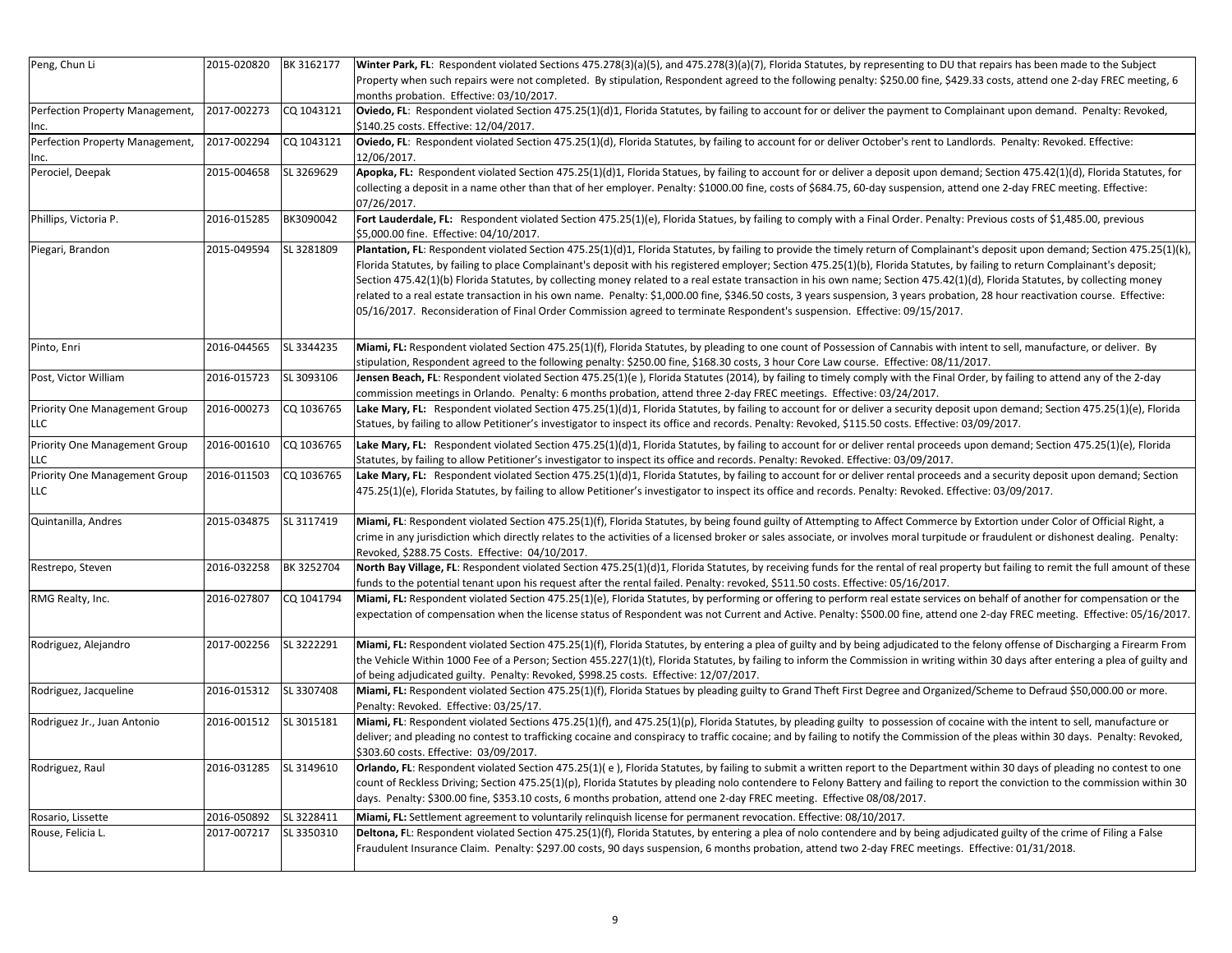| Peng, Chun Li                   | 2015-020820 | BK 3162177 | Winter Park, FL: Respondent violated Sections 475.278(3)(a)(5), and 475.278(3)(a)(7), Florida Statutes, by representing to DU that repairs has been made to the Subject              |
|---------------------------------|-------------|------------|--------------------------------------------------------------------------------------------------------------------------------------------------------------------------------------|
|                                 |             |            | Property when such repairs were not completed. By stipulation, Respondent agreed to the following penalty: \$250.00 fine, \$429.33 costs, attend one 2-day FREC meeting, 6           |
|                                 |             |            | months probation. Effective: 03/10/2017.                                                                                                                                             |
| Perfection Property Management, | 2017-002273 | CQ 1043121 | Oviedo, FL: Respondent violated Section 475.25(1)(d)1, Florida Statutes, by failing to account for or deliver the payment to Complainant upon demand. Penalty: Revoked,              |
| Inc.                            |             |            | \$140.25 costs. Effective: 12/04/2017.                                                                                                                                               |
| Perfection Property Management, | 2017-002294 | CQ 1043121 | Oviedo, FL: Respondent violated Section 475.25(1)(d), Florida Statutes, by failing to account for or deliver October's rent to Landlords. Penalty: Revoked. Effective:               |
| Inc.                            |             |            | 12/06/2017.                                                                                                                                                                          |
| Perociel, Deepak                | 2015-004658 | SL 3269629 | Apopka, FL: Respondent violated Section 475.25(1)(d)1, Florida Statues, by failing to account for or deliver a deposit upon demand; Section 475.42(1)(d), Florida Statutes, for      |
|                                 |             |            | collecting a deposit in a name other than that of her employer. Penalty: \$1000.00 fine, costs of \$684.75, 60-day suspension, attend one 2-day FREC meeting. Effective:             |
|                                 |             |            | 07/26/2017.                                                                                                                                                                          |
| Phillips, Victoria P.           | 2016-015285 | BK3090042  | Fort Lauderdale, FL: Respondent violated Section 475.25(1)(e), Florida Statues, by failing to comply with a Final Order. Penalty: Previous costs of \$1,485.00, previous             |
|                                 |             |            | \$5,000.00 fine. Effective: 04/10/2017.                                                                                                                                              |
| Piegari, Brandon                | 2015-049594 | SL 3281809 | Plantation, FL: Respondent violated Section 475.25(1)(d)1, Florida Statutes, by failing to provide the timely return of Complainant's deposit upon demand; Section 475.25(1)(k),     |
|                                 |             |            | Florida Statutes, by failing to place Complainant's deposit with his registered employer; Section 475.25(1)(b), Florida Statutes, by failing to return Complainant's deposit;        |
|                                 |             |            |                                                                                                                                                                                      |
|                                 |             |            | Section 475.42(1)(b) Florida Statutes, by collecting money related to a real estate transaction in his own name; Section 475.42(1)(d), Florida Statutes, by collecting money         |
|                                 |             |            | related to a real estate transaction in his own name. Penalty: \$1,000.00 fine, \$346.50 costs, 3 years suspension, 3 years probation, 28 hour reactivation course. Effective:       |
|                                 |             |            | 05/16/2017. Reconsideration of Final Order Commission agreed to terminate Respondent's suspension. Effective: 09/15/2017.                                                            |
|                                 |             |            |                                                                                                                                                                                      |
| Pinto, Enri                     | 2016-044565 | SL 3344235 | Miami, FL: Respondent violated Section 475.25(1)(f), Florida Statutes, by pleading to one count of Possession of Cannabis with intent to sell, manufacture, or deliver. By           |
|                                 |             |            | stipulation, Respondent agreed to the following penalty: \$250.00 fine, \$168.30 costs, 3 hour Core Law course. Effective: 08/11/2017.                                               |
| Post, Victor William            | 2016-015723 | SL 3093106 | Jensen Beach, FL: Respondent violated Section 475.25(1)(e), Florida Statutes (2014), by failing to timely comply with the Final Order, by failing to attend any of the 2-day         |
|                                 |             |            | commission meetings in Orlando. Penalty: 6 months probation, attend three 2-day FREC meetings. Effective: 03/24/2017.                                                                |
| Priority One Management Group   | 2016-000273 | CQ 1036765 | Lake Mary, FL: Respondent violated Section 475.25(1)(d)1, Florida Statutes, by failing to account for or deliver a security deposit upon demand; Section 475.25(1)(e), Florida       |
| <b>LLC</b>                      |             |            | Statues, by failing to allow Petitioner's investigator to inspect its office and records. Penalty: Revoked, \$115.50 costs. Effective: 03/09/2017.                                   |
|                                 |             |            |                                                                                                                                                                                      |
| Priority One Management Group   | 2016-001610 | CQ 1036765 | Lake Mary, FL: Respondent violated Section 475.25(1)(d)1, Florida Statutes, by failing to account for or deliver rental proceeds upon demand; Section 475.25(1)(e), Florida          |
| <b>LLC</b>                      |             |            | Statutes, by failing to allow Petitioner's investigator to inspect its office and records. Penalty: Revoked. Effective: 03/09/2017.                                                  |
| Priority One Management Group   | 2016-011503 | CQ 1036765 | Lake Mary, FL: Respondent violated Section 475.25(1)(d)1, Florida Statutes, by failing to account for or deliver rental proceeds and a security deposit upon demand; Section         |
| <b>LLC</b>                      |             |            | 475.25(1)(e), Florida Statutes, by failing to allow Petitioner's investigator to inspect its office and records. Penalty: Revoked. Effective: 03/09/2017.                            |
|                                 |             |            |                                                                                                                                                                                      |
| Quintanilla, Andres             | 2015-034875 | SL 3117419 | Miami, FL: Respondent violated Section 475.25(1)(f), Florida Statutes, by being found guilty of Attempting to Affect Commerce by Extortion under Color of Official Right, a          |
|                                 |             |            | crime in any jurisdiction which directly relates to the activities of a licensed broker or sales associate, or involves moral turpitude or fraudulent or dishonest dealing. Penalty: |
|                                 |             |            | Revoked, \$288.75 Costs. Effective: 04/10/2017.                                                                                                                                      |
| Restrepo, Steven                | 2016-032258 | BK 3252704 | North Bay Village, FL: Respondent violated Section 475.25(1)(d)1, Florida Statutes, by receiving funds for the rental of real property but failing to remit the full amount of these |
|                                 |             |            | funds to the potential tenant upon his request after the rental failed. Penalty: revoked, \$511.50 costs. Effective: 05/16/2017.                                                     |
| RMG Realty, Inc.                | 2016-027807 | CQ 1041794 | Miami, FL: Respondent violated Section 475.25(1)(e), Florida Statutes, by performing or offering to perform real estate services on behalf of another for compensation or the        |
|                                 |             |            | expectation of compensation when the license status of Respondent was not Current and Active. Penalty: \$500.00 fine, attend one 2-day FREC meeting. Effective: 05/16/2017.          |
|                                 |             |            |                                                                                                                                                                                      |
| Rodriguez, Alejandro            | 2017-002256 | SL 3222291 | Miami, FL: Respondent violated Section 475.25(1)(f), Florida Statutes, by entering a plea of guilty and by being adjudicated to the felony offense of Discharging a Firearm From     |
|                                 |             |            | the Vehicle Within 1000 Fee of a Person; Section 455.227(1)(t), Florida Statutes, by failing to inform the Commission in writing within 30 days after entering a plea of guilty and  |
|                                 |             |            | of being adjudicated guilty. Penalty: Revoked, \$998.25 costs. Effective: 12/07/2017.                                                                                                |
| Rodriguez, Jacqueline           | 2016-015312 | SL 3307408 | Miami, FL: Respondent violated Section 475.25(1)(f), Florida Statues by pleading guilty to Grand Theft First Degree and Organized/Scheme to Defraud \$50,000.00 or more.             |
|                                 |             |            | Penalty: Revoked. Effective: 03/25/17.                                                                                                                                               |
| Rodriguez Jr., Juan Antonio     | 2016-001512 | SL 3015181 | Miami, FL: Respondent violated Sections 475.25(1)(f), and 475.25(1)(p), Florida Statutes, by pleading guilty to possession of cocaine with the intent to sell, manufacture or        |
|                                 |             |            | deliver; and pleading no contest to trafficking cocaine and conspiracy to traffic cocaine; and by failing to notify the Commission of the pleas within 30 days. Penalty: Revoked,    |
|                                 |             |            |                                                                                                                                                                                      |
|                                 |             |            | \$303.60 costs. Effective: 03/09/2017.                                                                                                                                               |
| Rodriguez, Raul                 | 2016-031285 | SL 3149610 | Orlando, FL: Respondent violated Section 475.25(1)(e), Florida Statutes, by failing to submit a written report to the Department within 30 days of pleading no contest to one        |
|                                 |             |            | count of Reckless Driving; Section 475.25(1)(p), Florida Statutes by pleading nolo contendere to Felony Battery and failing to report the conviction to the commission within 30     |
|                                 |             |            | days. Penalty: \$300.00 fine, \$353.10 costs, 6 months probation, attend one 2-day FREC meeting. Effective 08/08/2017.                                                               |
| Rosario, Lissette               | 2016-050892 | SL 3228411 | Miami, FL: Settlement agreement to voluntarily relinquish license for permanent revocation. Effective: 08/10/2017.                                                                   |
| Rouse, Felicia L.               | 2017-007217 | SL 3350310 | Deltona, FL: Respondent violated Section 475.25(1)(f), Florida Statutes, by entering a plea of nolo contendere and by being adjudicated guilty of the crime of Filing a False        |
|                                 |             |            | Fraudulent Insurance Claim. Penalty: \$297.00 costs, 90 days suspension, 6 months probation, attend two 2-day FREC meetings. Effective: 01/31/2018.                                  |
|                                 |             |            |                                                                                                                                                                                      |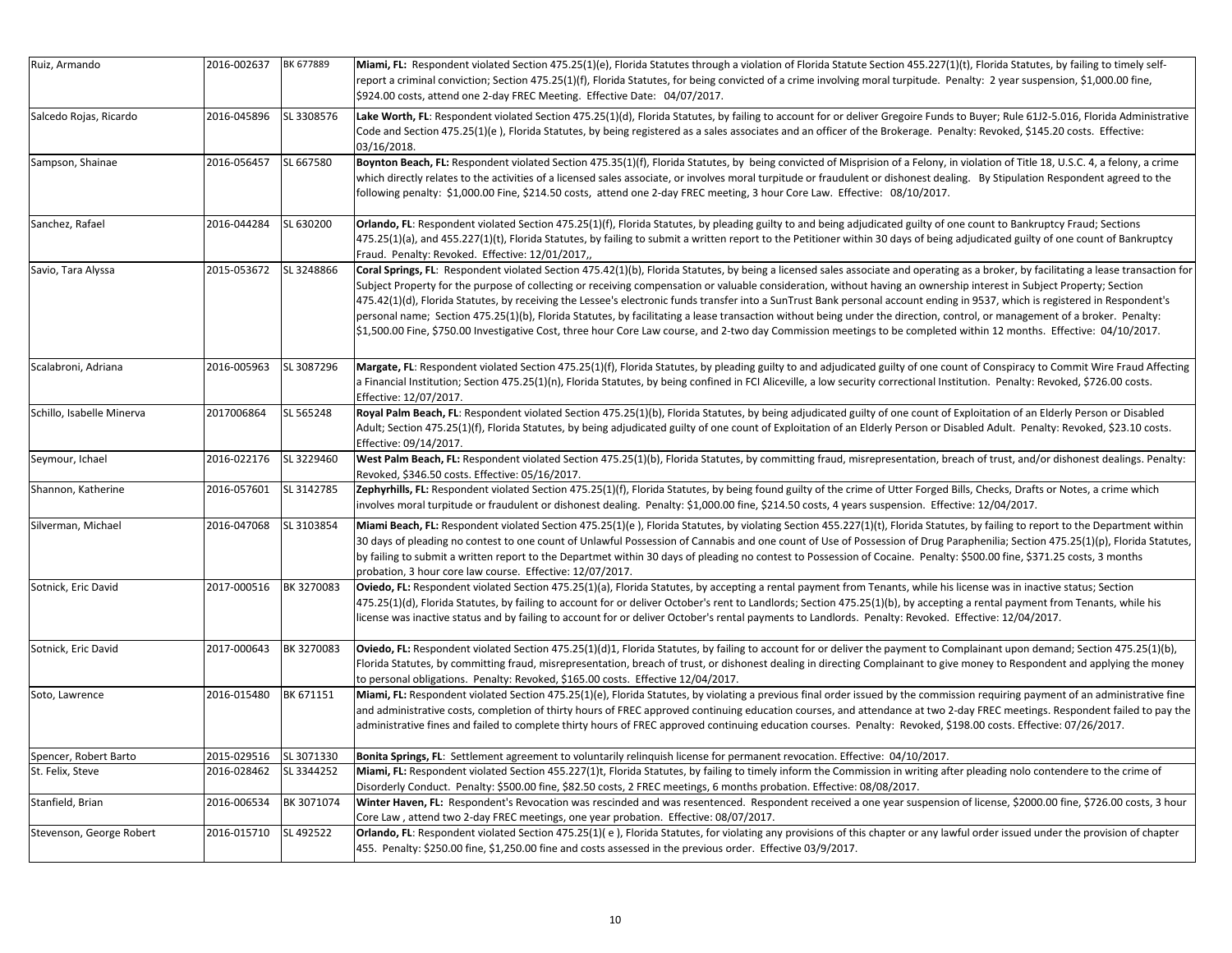| Ruiz, Armando             | 2016-002637 | BK 677889  | Miami, FL: Respondent violated Section 475.25(1)(e), Florida Statutes through a violation of Florida Statute Section 455.227(1)(t), Florida Statutes, by failing to timely self-<br>report a criminal conviction; Section 475.25(1)(f), Florida Statutes, for being convicted of a crime involving moral turpitude. Penalty: 2 year suspension, \$1,000.00 fine,<br>\$924.00 costs, attend one 2-day FREC Meeting. Effective Date: 04/07/2017.                                                                                                                                                                                                                                                                                                                                                                                                                                                        |
|---------------------------|-------------|------------|-------------------------------------------------------------------------------------------------------------------------------------------------------------------------------------------------------------------------------------------------------------------------------------------------------------------------------------------------------------------------------------------------------------------------------------------------------------------------------------------------------------------------------------------------------------------------------------------------------------------------------------------------------------------------------------------------------------------------------------------------------------------------------------------------------------------------------------------------------------------------------------------------------|
| Salcedo Rojas, Ricardo    | 2016-045896 | SL 3308576 | Lake Worth, FL: Respondent violated Section 475.25(1)(d), Florida Statutes, by failing to account for or deliver Gregoire Funds to Buyer; Rule 61J2-5.016, Florida Administrative<br>Code and Section 475.25(1)(e), Florida Statutes, by being registered as a sales associates and an officer of the Brokerage. Penalty: Revoked, \$145.20 costs. Effective:<br>03/16/2018.                                                                                                                                                                                                                                                                                                                                                                                                                                                                                                                          |
| Sampson, Shainae          | 2016-056457 | SL 667580  | Boynton Beach, FL: Respondent violated Section 475.35(1)(f), Florida Statutes, by being convicted of Misprision of a Felony, in violation of Title 18, U.S.C. 4, a felony, a crime<br>which directly relates to the activities of a licensed sales associate, or involves moral turpitude or fraudulent or dishonest dealing. By Stipulation Respondent agreed to the<br>following penalty: \$1,000.00 Fine, \$214.50 costs, attend one 2-day FREC meeting, 3 hour Core Law. Effective: 08/10/2017.                                                                                                                                                                                                                                                                                                                                                                                                   |
| Sanchez, Rafael           | 2016-044284 | SL 630200  | Orlando, FL: Respondent violated Section 475.25(1)(f), Florida Statutes, by pleading guilty to and being adjudicated guilty of one count to Bankruptcy Fraud; Sections<br>475.25(1)(a), and 455.227(1)(t), Florida Statutes, by failing to submit a written report to the Petitioner within 30 days of being adjudicated guilty of one count of Bankruptcy<br>Fraud. Penalty: Revoked. Effective: 12/01/2017,                                                                                                                                                                                                                                                                                                                                                                                                                                                                                         |
| Savio, Tara Alyssa        | 2015-053672 | SL 3248866 | Coral Springs, FL: Respondent violated Section 475.42(1)(b), Florida Statutes, by being a licensed sales associate and operating as a broker, by facilitating a lease transaction for<br>Subject Property for the purpose of collecting or receiving compensation or valuable consideration, without having an ownership interest in Subject Property; Section<br>475.42(1)(d), Florida Statutes, by receiving the Lessee's electronic funds transfer into a SunTrust Bank personal account ending in 9537, which is registered in Respondent's<br>personal name; Section 475.25(1)(b), Florida Statutes, by facilitating a lease transaction without being under the direction, control, or management of a broker. Penalty:<br>\$1,500.00 Fine, \$750.00 Investigative Cost, three hour Core Law course, and 2-two day Commission meetings to be completed within 12 months. Effective: 04/10/2017. |
| Scalabroni, Adriana       | 2016-005963 | SL 3087296 | Margate, FL: Respondent violated Section 475.25(1)(f), Florida Statutes, by pleading guilty to and adjudicated guilty of one count of Conspiracy to Commit Wire Fraud Affecting<br>a Financial Institution; Section 475.25(1)(n), Florida Statutes, by being confined in FCI Aliceville, a low security correctional Institution. Penalty: Revoked, \$726.00 costs.<br>Effective: 12/07/2017.                                                                                                                                                                                                                                                                                                                                                                                                                                                                                                         |
| Schillo, Isabelle Minerva | 2017006864  | SL 565248  | Royal Palm Beach, FL: Respondent violated Section 475.25(1)(b), Florida Statutes, by being adjudicated guilty of one count of Exploitation of an Elderly Person or Disabled<br>Adult; Section 475.25(1)(f), Florida Statutes, by being adjudicated guilty of one count of Exploitation of an Elderly Person or Disabled Adult. Penalty: Revoked, \$23.10 costs.<br>Effective: 09/14/2017.                                                                                                                                                                                                                                                                                                                                                                                                                                                                                                             |
| Seymour, Ichael           | 2016-022176 | SL 3229460 | West Palm Beach, FL: Respondent violated Section 475.25(1)(b), Florida Statutes, by committing fraud, misrepresentation, breach of trust, and/or dishonest dealings. Penalty:<br>Revoked, \$346.50 costs. Effective: 05/16/2017.                                                                                                                                                                                                                                                                                                                                                                                                                                                                                                                                                                                                                                                                      |
| Shannon, Katherine        | 2016-057601 | SL 3142785 | Zephyrhills, FL: Respondent violated Section 475.25(1)(f), Florida Statutes, by being found guilty of the crime of Utter Forged Bills, Checks, Drafts or Notes, a crime which<br>involves moral turpitude or fraudulent or dishonest dealing. Penalty: \$1,000.00 fine, \$214.50 costs, 4 years suspension. Effective: 12/04/2017.                                                                                                                                                                                                                                                                                                                                                                                                                                                                                                                                                                    |
| Silverman, Michael        | 2016-047068 | SL 3103854 | Miami Beach, FL: Respondent violated Section 475.25(1)(e), Florida Statutes, by violating Section 455.227(1)(t), Florida Statutes, by failing to report to the Department within<br>30 days of pleading no contest to one count of Unlawful Possession of Cannabis and one count of Use of Possession of Drug Paraphenilia; Section 475.25(1)(p), Florida Statutes,<br>by failing to submit a written report to the Departmet within 30 days of pleading no contest to Possession of Cocaine. Penalty: \$500.00 fine, \$371.25 costs, 3 months<br>probation, 3 hour core law course. Effective: 12/07/2017.                                                                                                                                                                                                                                                                                           |
| Sotnick, Eric David       | 2017-000516 | BK 3270083 | Oviedo, FL: Respondent violated Section 475.25(1)(a), Florida Statutes, by accepting a rental payment from Tenants, while his license was in inactive status; Section<br>475.25(1)(d), Florida Statutes, by failing to account for or deliver October's rent to Landlords; Section 475.25(1)(b), by accepting a rental payment from Tenants, while his<br>license was inactive status and by failing to account for or deliver October's rental payments to Landlords. Penalty: Revoked. Effective: 12/04/2017.                                                                                                                                                                                                                                                                                                                                                                                       |
| Sotnick, Eric David       | 2017-000643 | BK 3270083 | Oviedo, FL: Respondent violated Section 475.25(1)(d)1, Florida Statutes, by failing to account for or deliver the payment to Complainant upon demand; Section 475.25(1)(b),<br>Florida Statutes, by committing fraud, misrepresentation, breach of trust, or dishonest dealing in directing Complainant to give money to Respondent and applying the money<br>to personal obligations. Penalty: Revoked, \$165.00 costs. Effective 12/04/2017.                                                                                                                                                                                                                                                                                                                                                                                                                                                        |
| Soto, Lawrence            | 2016-015480 | BK 671151  | Miami, FL: Respondent violated Section 475.25(1)(e), Florida Statutes, by violating a previous final order issued by the commission requiring payment of an administrative fine<br>and administrative costs, completion of thirty hours of FREC approved continuing education courses, and attendance at two 2-day FREC meetings. Respondent failed to pay the<br>administrative fines and failed to complete thirty hours of FREC approved continuing education courses. Penalty: Revoked, \$198.00 costs. Effective: 07/26/2017.                                                                                                                                                                                                                                                                                                                                                                    |
| Spencer, Robert Barto     | 2015-029516 | SL 3071330 | Bonita Springs, FL: Settlement agreement to voluntarily relinquish license for permanent revocation. Effective: 04/10/2017.                                                                                                                                                                                                                                                                                                                                                                                                                                                                                                                                                                                                                                                                                                                                                                           |
| St. Felix, Steve          | 2016-028462 | SL 3344252 | Miami, FL: Respondent violated Section 455.227(1)t, Florida Statutes, by failing to timely inform the Commission in writing after pleading nolo contendere to the crime of<br>Disorderly Conduct. Penalty: \$500.00 fine, \$82.50 costs, 2 FREC meetings, 6 months probation. Effective: 08/08/2017.                                                                                                                                                                                                                                                                                                                                                                                                                                                                                                                                                                                                  |
| Stanfield, Brian          | 2016-006534 | BK 3071074 | Winter Haven, FL: Respondent's Revocation was rescinded and was resentenced. Respondent received a one year suspension of license, \$2000.00 fine, \$726.00 costs, 3 hour<br>Core Law, attend two 2-day FREC meetings, one year probation. Effective: 08/07/2017.                                                                                                                                                                                                                                                                                                                                                                                                                                                                                                                                                                                                                                     |
| Stevenson, George Robert  | 2016-015710 | SL 492522  | Orlando, FL: Respondent violated Section 475.25(1)(e), Florida Statutes, for violating any provisions of this chapter or any lawful order issued under the provision of chapter<br>455. Penalty: \$250.00 fine, \$1,250.00 fine and costs assessed in the previous order. Effective 03/9/2017.                                                                                                                                                                                                                                                                                                                                                                                                                                                                                                                                                                                                        |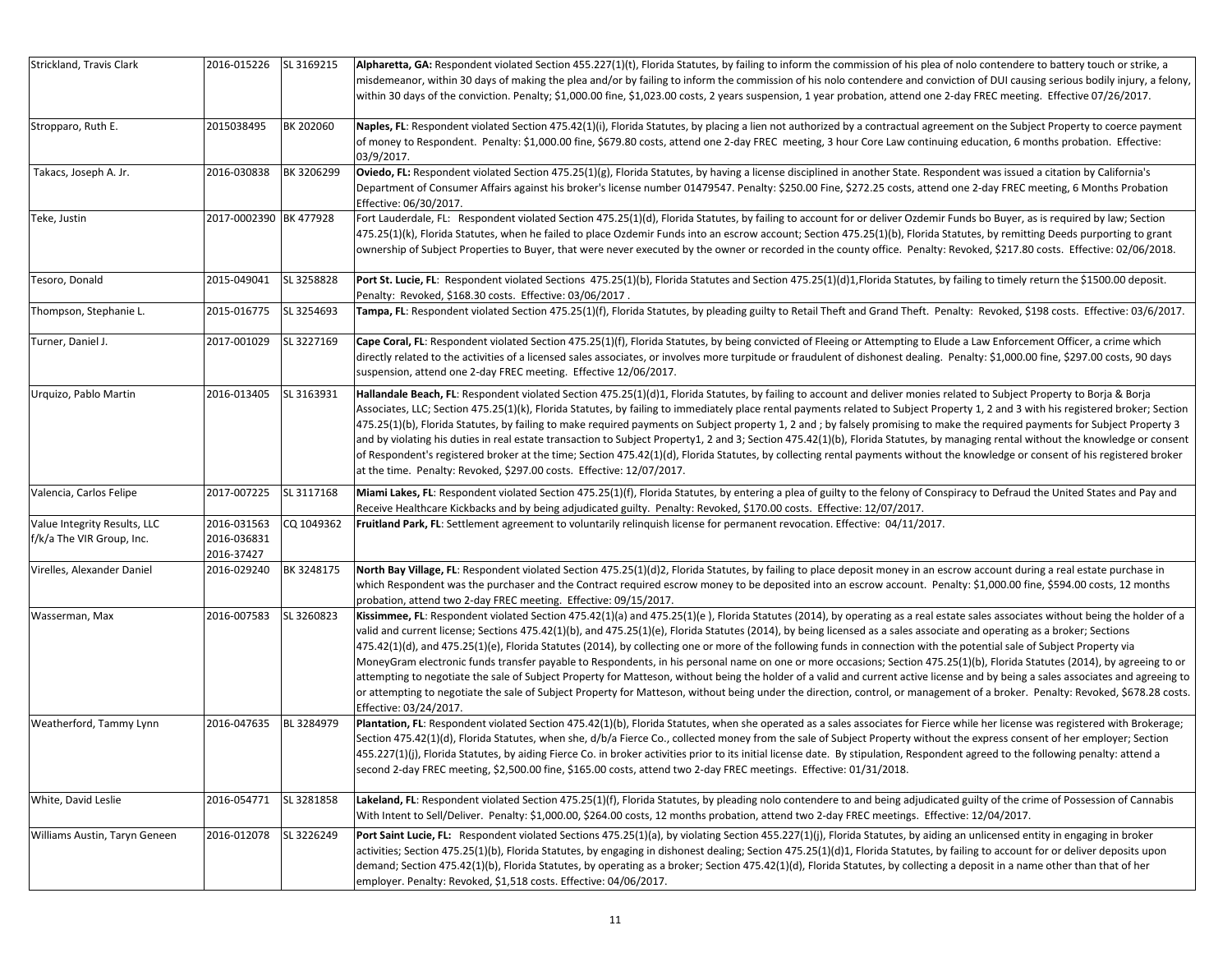| Strickland, Travis Clark                                  | 2016-015226                              | SL 3169215 | Alpharetta, GA: Respondent violated Section 455.227(1)(t), Florida Statutes, by failing to inform the commission of his plea of nolo contendere to battery touch or strike, a<br>misdemeanor, within 30 days of making the plea and/or by failing to inform the commission of his nolo contendere and conviction of DUI causing serious bodily injury, a felony,<br>within 30 days of the conviction. Penalty; \$1,000.00 fine, \$1,023.00 costs, 2 years suspension, 1 year probation, attend one 2-day FREC meeting. Effective 07/26/2017.                                                                                                                                                                                                                                                                                                                                                                                                                                                                                                                                                                          |
|-----------------------------------------------------------|------------------------------------------|------------|-----------------------------------------------------------------------------------------------------------------------------------------------------------------------------------------------------------------------------------------------------------------------------------------------------------------------------------------------------------------------------------------------------------------------------------------------------------------------------------------------------------------------------------------------------------------------------------------------------------------------------------------------------------------------------------------------------------------------------------------------------------------------------------------------------------------------------------------------------------------------------------------------------------------------------------------------------------------------------------------------------------------------------------------------------------------------------------------------------------------------|
| Stropparo, Ruth E.                                        | 2015038495                               | BK 202060  | Naples, FL: Respondent violated Section 475.42(1)(i), Florida Statutes, by placing a lien not authorized by a contractual agreement on the Subject Property to coerce payment<br>of money to Respondent. Penalty: \$1,000.00 fine, \$679.80 costs, attend one 2-day FREC meeting, 3 hour Core Law continuing education, 6 months probation. Effective:<br>03/9/2017.                                                                                                                                                                                                                                                                                                                                                                                                                                                                                                                                                                                                                                                                                                                                                  |
| Takacs, Joseph A. Jr.                                     | 2016-030838                              | BK 3206299 | Oviedo, FL: Respondent violated Section 475.25(1)(g), Florida Statutes, by having a license disciplined in another State. Respondent was issued a citation by California's<br>Department of Consumer Affairs against his broker's license number 01479547. Penalty: \$250.00 Fine, \$272.25 costs, attend one 2-day FREC meeting, 6 Months Probation<br>Effective: 06/30/2017.                                                                                                                                                                                                                                                                                                                                                                                                                                                                                                                                                                                                                                                                                                                                        |
| Teke, Justin                                              | 2017-0002390 BK 477928                   |            | Fort Lauderdale, FL: Respondent violated Section 475.25(1)(d), Florida Statutes, by failing to account for or deliver Ozdemir Funds bo Buyer, as is required by law; Section<br>475.25(1)(k), Florida Statutes, when he failed to place Ozdemir Funds into an escrow account; Section 475.25(1)(b), Florida Statutes, by remitting Deeds purporting to grant<br>ownership of Subject Properties to Buyer, that were never executed by the owner or recorded in the county office. Penalty: Revoked, \$217.80 costs. Effective: 02/06/2018.                                                                                                                                                                                                                                                                                                                                                                                                                                                                                                                                                                            |
| Tesoro, Donald                                            | 2015-049041                              | SL 3258828 | Port St. Lucie, FL: Respondent violated Sections 475.25(1)(b), Florida Statutes and Section 475.25(1)(d)1,Florida Statutes, by failing to timely return the \$1500.00 deposit.<br>Penalty: Revoked, \$168.30 costs. Effective: 03/06/2017.                                                                                                                                                                                                                                                                                                                                                                                                                                                                                                                                                                                                                                                                                                                                                                                                                                                                            |
| Thompson, Stephanie L.                                    | 2015-016775                              | SL 3254693 | Tampa, FL: Respondent violated Section 475.25(1)(f), Florida Statutes, by pleading guilty to Retail Theft and Grand Theft. Penalty: Revoked, \$198 costs. Effective: 03/6/2017.                                                                                                                                                                                                                                                                                                                                                                                                                                                                                                                                                                                                                                                                                                                                                                                                                                                                                                                                       |
| Turner, Daniel J.                                         | 2017-001029                              | SL 3227169 | Cape Coral, FL: Respondent violated Section 475.25(1)(f), Florida Statutes, by being convicted of Fleeing or Attempting to Elude a Law Enforcement Officer, a crime which<br>directly related to the activities of a licensed sales associates, or involves more turpitude or fraudulent of dishonest dealing. Penalty: \$1,000.00 fine, \$297.00 costs, 90 days<br>suspension, attend one 2-day FREC meeting. Effective 12/06/2017.                                                                                                                                                                                                                                                                                                                                                                                                                                                                                                                                                                                                                                                                                  |
| Urquizo, Pablo Martin                                     | 2016-013405                              | SL 3163931 | Hallandale Beach, FL: Respondent violated Section 475.25(1)(d)1, Florida Statutes, by failing to account and deliver monies related to Subject Property to Borja & Borja<br>Associates, LLC; Section 475.25(1)(k), Florida Statutes, by failing to immediately place rental payments related to Subject Property 1, 2 and 3 with his registered broker; Section<br>475.25(1)(b), Florida Statutes, by failing to make required payments on Subject property 1, 2 and ; by falsely promising to make the required payments for Subject Property 3<br>and by violating his duties in real estate transaction to Subject Property1, 2 and 3; Section 475.42(1)(b), Florida Statutes, by managing rental without the knowledge or consent<br>of Respondent's registered broker at the time; Section 475.42(1)(d), Florida Statutes, by collecting rental payments without the knowledge or consent of his registered broker<br>at the time. Penalty: Revoked, \$297.00 costs. Effective: 12/07/2017.                                                                                                                      |
| Valencia, Carlos Felipe                                   | 2017-007225                              | SL 3117168 | Miami Lakes, FL: Respondent violated Section 475.25(1)(f), Florida Statutes, by entering a plea of guilty to the felony of Conspiracy to Defraud the United States and Pay and<br>Receive Healthcare Kickbacks and by being adjudicated guilty. Penalty: Revoked, \$170.00 costs. Effective: 12/07/2017.                                                                                                                                                                                                                                                                                                                                                                                                                                                                                                                                                                                                                                                                                                                                                                                                              |
| Value Integrity Results, LLC<br>f/k/a The VIR Group, Inc. | 2016-031563<br>2016-036831<br>2016-37427 | CQ 1049362 | Fruitland Park, FL: Settlement agreement to voluntarily relinquish license for permanent revocation. Effective: 04/11/2017.                                                                                                                                                                                                                                                                                                                                                                                                                                                                                                                                                                                                                                                                                                                                                                                                                                                                                                                                                                                           |
| Virelles, Alexander Daniel                                | 2016-029240                              | BK 3248175 | North Bay Village, FL: Respondent violated Section 475.25(1)(d)2, Florida Statutes, by failing to place deposit money in an escrow account during a real estate purchase in<br>which Respondent was the purchaser and the Contract required escrow money to be deposited into an escrow account. Penalty: \$1,000.00 fine, \$594.00 costs, 12 months<br>probation, attend two 2-day FREC meeting. Effective: 09/15/2017.                                                                                                                                                                                                                                                                                                                                                                                                                                                                                                                                                                                                                                                                                              |
| Wasserman, Max                                            | 2016-007583                              | SL 3260823 | Kissimmee, FL: Respondent violated Section 475.42(1)(a) and 475.25(1)(e), Florida Statutes (2014), by operating as a real estate sales associates without being the holder of a<br>valid and current license; Sections 475.42(1)(b), and 475.25(1)(e), Florida Statutes (2014), by being licensed as a sales associate and operating as a broker; Sections<br>475.42(1)(d), and 475.25(1)(e), Florida Statutes (2014), by collecting one or more of the following funds in connection with the potential sale of Subject Property via<br>MoneyGram electronic funds transfer payable to Respondents, in his personal name on one or more occasions; Section 475.25(1)(b), Florida Statutes (2014), by agreeing to or<br>attempting to negotiate the sale of Subject Property for Matteson, without being the holder of a valid and current active license and by being a sales associates and agreeing to<br>or attempting to negotiate the sale of Subject Property for Matteson, without being under the direction, control, or management of a broker. Penalty: Revoked, \$678.28 costs.<br>Effective: 03/24/2017. |
| Weatherford, Tammy Lynn                                   | 2016-047635                              | BL 3284979 | Plantation, FL: Respondent violated Section 475.42(1)(b), Florida Statutes, when she operated as a sales associates for Fierce while her license was registered with Brokerage;<br>Section 475.42(1)(d), Florida Statutes, when she, d/b/a Fierce Co., collected money from the sale of Subject Property without the express consent of her employer; Section<br>455.227(1)(j), Florida Statutes, by aiding Fierce Co. in broker activities prior to its initial license date. By stipulation, Respondent agreed to the following penalty: attend a<br>second 2-day FREC meeting, \$2,500.00 fine, \$165.00 costs, attend two 2-day FREC meetings. Effective: 01/31/2018.                                                                                                                                                                                                                                                                                                                                                                                                                                             |
| White, David Leslie                                       | 2016-054771                              | SL 3281858 | Lakeland, FL: Respondent violated Section 475.25(1)(f), Florida Statutes, by pleading nolo contendere to and being adjudicated guilty of the crime of Possession of Cannabis<br>With Intent to Sell/Deliver. Penalty: \$1,000.00, \$264.00 costs, 12 months probation, attend two 2-day FREC meetings. Effective: 12/04/2017.                                                                                                                                                                                                                                                                                                                                                                                                                                                                                                                                                                                                                                                                                                                                                                                         |
| Williams Austin, Taryn Geneen                             | 2016-012078                              | SL 3226249 | Port Saint Lucie, FL: Respondent violated Sections 475.25(1)(a), by violating Section 455.227(1)(j), Florida Statutes, by aiding an unlicensed entity in engaging in broker<br>activities; Section 475.25(1)(b), Florida Statutes, by engaging in dishonest dealing; Section 475.25(1)(d)1, Florida Statutes, by failing to account for or deliver deposits upon<br>demand; Section 475.42(1)(b), Florida Statutes, by operating as a broker; Section 475.42(1)(d), Florida Statutes, by collecting a deposit in a name other than that of her<br>employer. Penalty: Revoked, \$1,518 costs. Effective: 04/06/2017.                                                                                                                                                                                                                                                                                                                                                                                                                                                                                                   |